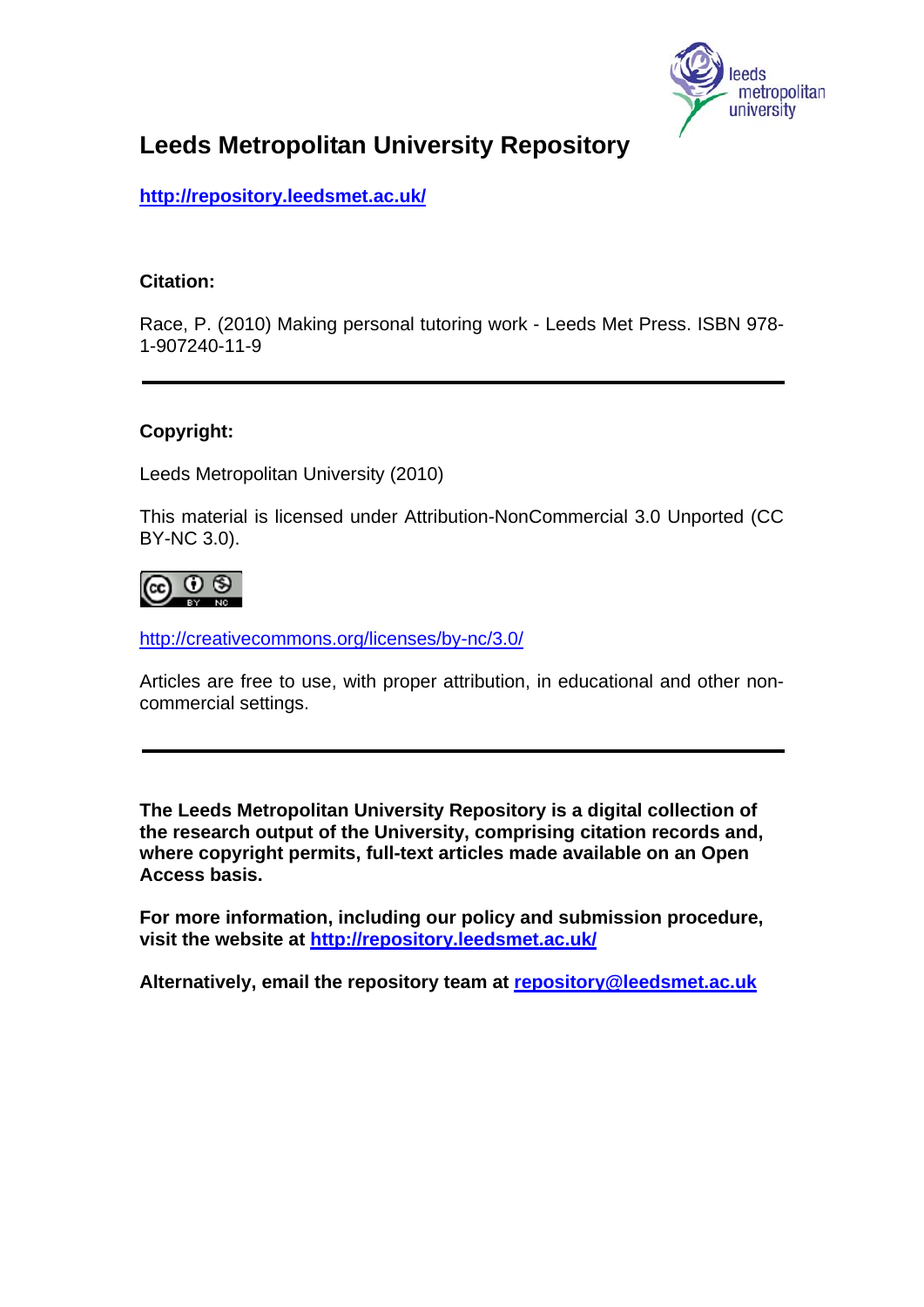

# **Leeds Metropolitan University Repository**

**http://repository.leedsmet.ac.uk/** 

# **Citation:**

Race, P. (2010) Making personal tutoring work - Leeds Met Press. ISBN 978- 1-907240-11-9

# **Copyright:**

Leeds Metropolitan University (2010)

This material is licensed under Attribution-NonCommercial 3.0 Unported (CC BY-NC 3.0).

# $0$   $\circ$  $(cc)$

http://creativecommons.org/licenses/by-nc/3.0/

Articles are free to use, with proper attribution, in educational and other noncommercial settings.

**The Leeds Metropolitan University Repository is a digital collection of the research output of the University, comprising citation records and, where copyright permits, full-text articles made available on an Open Access basis.** 

**For more information, including our policy and submission procedure, visit the website at http://repository.leedsmet.ac.uk/** 

**Alternatively, email the repository team at repository@leedsmet.ac.uk**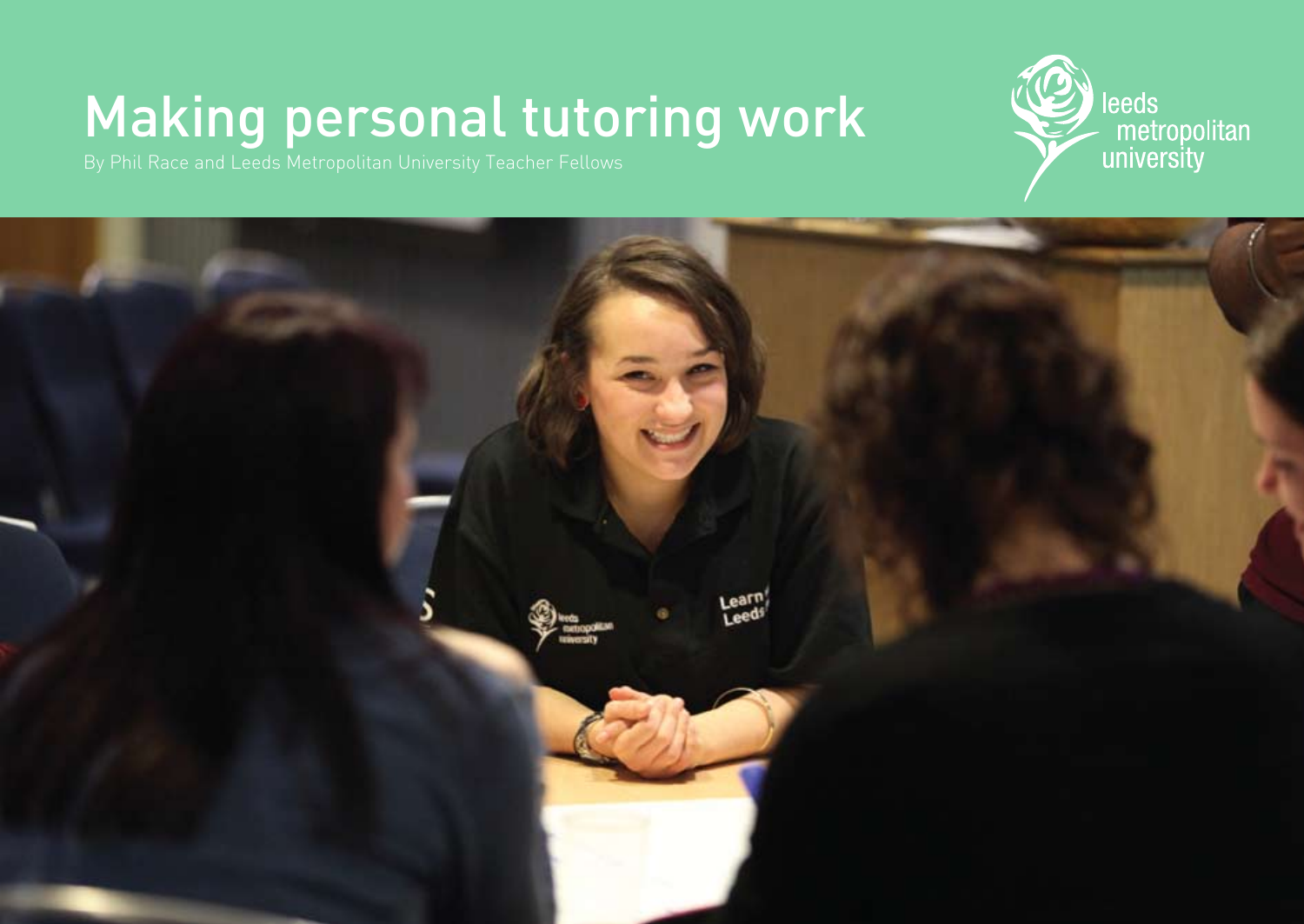# Making personal tutoring work



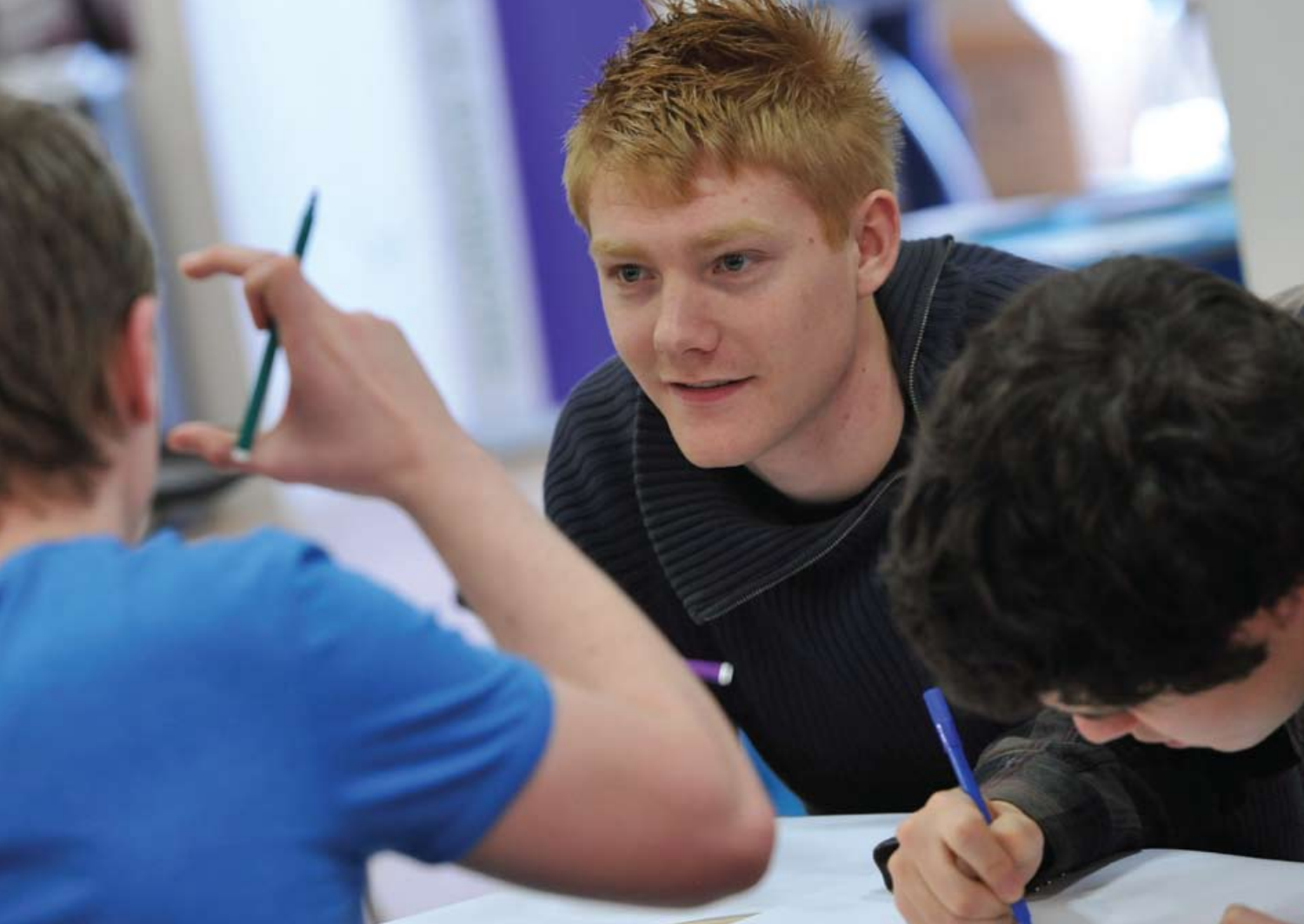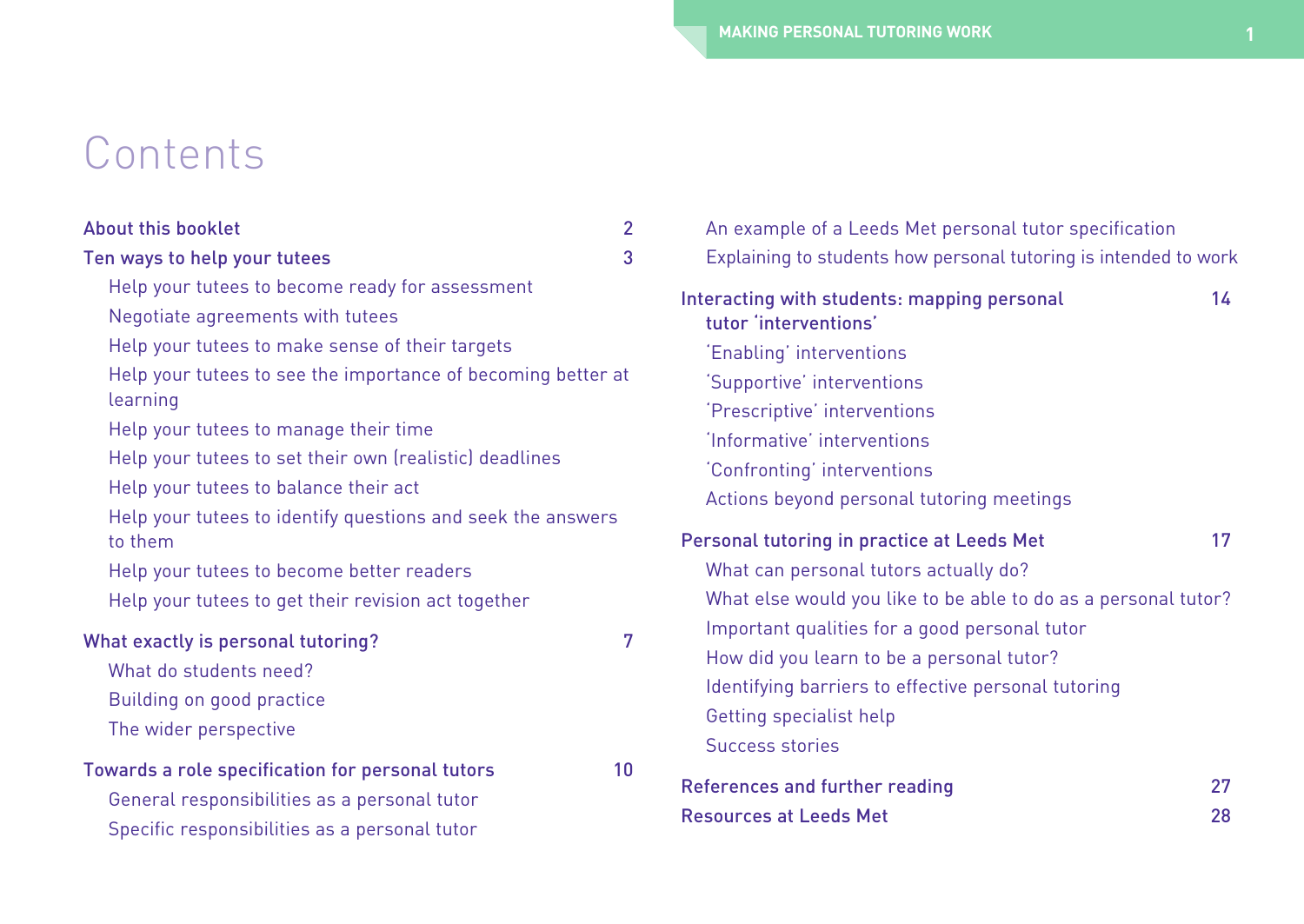# **Contents**

| <b>About this booklet</b>                                                                                                                                                                                                                                                                                                                                                                                                      | $\overline{2}$ | An example of a Leeds Met personal tutor specification                                                                                                                                                                                                                          |
|--------------------------------------------------------------------------------------------------------------------------------------------------------------------------------------------------------------------------------------------------------------------------------------------------------------------------------------------------------------------------------------------------------------------------------|----------------|---------------------------------------------------------------------------------------------------------------------------------------------------------------------------------------------------------------------------------------------------------------------------------|
| Ten ways to help your tutees                                                                                                                                                                                                                                                                                                                                                                                                   | 3              | Explaining to students how personal tutoring is intended to work                                                                                                                                                                                                                |
| Help your tutees to become ready for assessment<br>Negotiate agreements with tutees<br>Help your tutees to make sense of their targets<br>Help your tutees to see the importance of becoming better at<br>learning<br>Help your tutees to manage their time<br>Help your tutees to set their own (realistic) deadlines<br>Help your tutees to balance their act<br>Help your tutees to identify questions and seek the answers |                | Interacting with students: mapping personal<br>14<br>tutor 'interventions'<br>'Enabling' interventions<br>'Supportive' interventions<br>'Prescriptive' interventions<br>'Informative' interventions<br>'Confronting' interventions<br>Actions beyond personal tutoring meetings |
| to them                                                                                                                                                                                                                                                                                                                                                                                                                        |                | Personal tutoring in practice at Leeds Met<br>17                                                                                                                                                                                                                                |
| Help your tutees to become better readers<br>Help your tutees to get their revision act together                                                                                                                                                                                                                                                                                                                               |                | What can personal tutors actually do?<br>What else would you like to be able to do as a personal tutor?                                                                                                                                                                         |
| What exactly is personal tutoring?<br>What do students need?<br>Building on good practice<br>The wider perspective                                                                                                                                                                                                                                                                                                             | 7              | Important qualities for a good personal tutor<br>How did you learn to be a personal tutor?<br>Identifying barriers to effective personal tutoring<br>Getting specialist help<br>Success stories                                                                                 |
| Towards a role specification for personal tutors<br>General responsibilities as a personal tutor<br>Specific responsibilities as a personal tutor                                                                                                                                                                                                                                                                              | 10             | 27<br>References and further reading<br><b>Resources at Leeds Met</b><br>28                                                                                                                                                                                                     |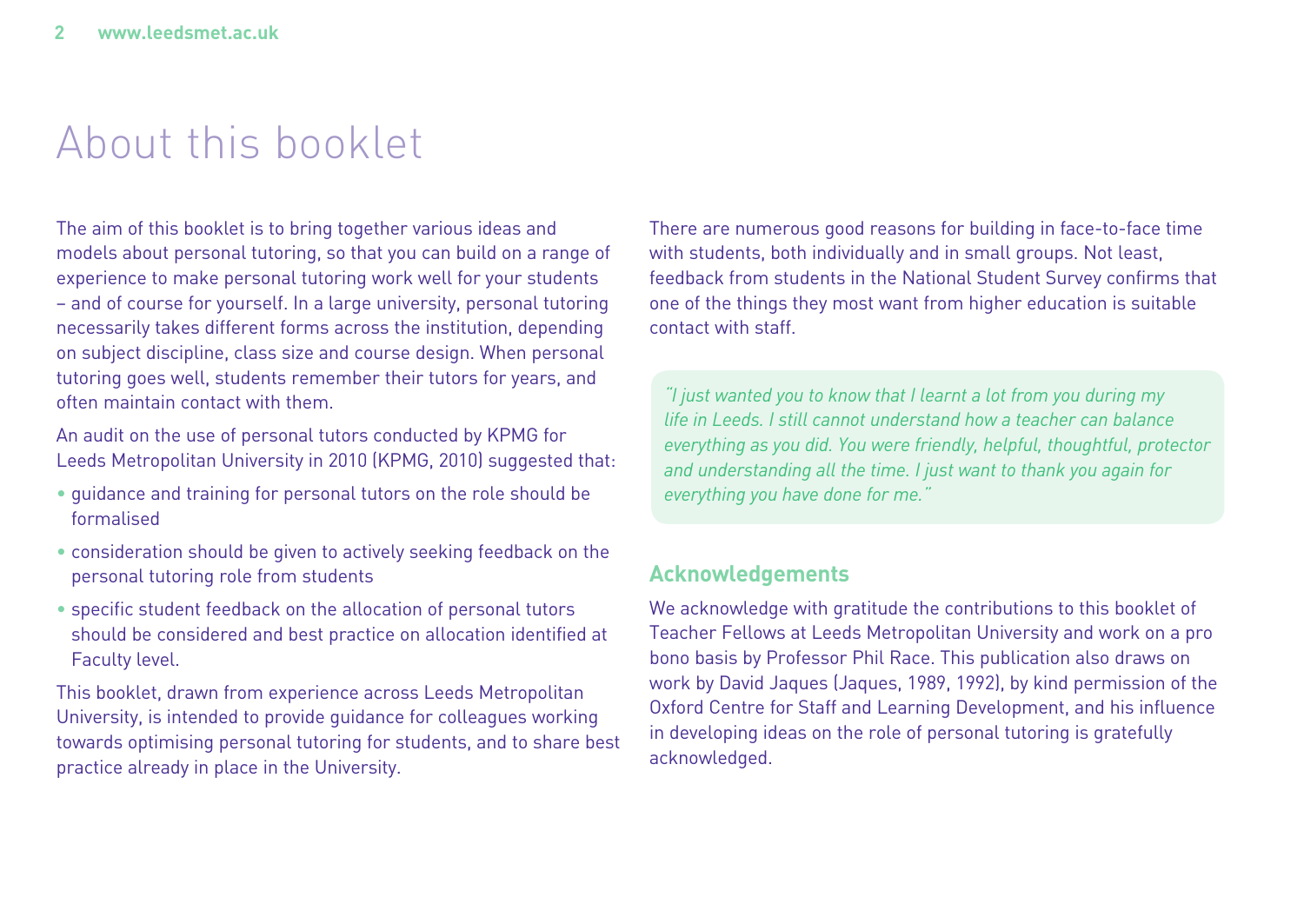# About this booklet

The aim of this booklet is to bring together various ideas and models about personal tutoring, so that you can build on a range of experience to make personal tutoring work well for your students – and of course for yourself. In a large university, personal tutoring necessarily takes different forms across the institution, depending on subject discipline, class size and course design. When personal tutoring goes well, students remember their tutors for years, and often maintain contact with them.

An audit on the use of personal tutors conducted by KPMG for Leeds Metropolitan University in 2010 (KPMG, 2010) suggested that:

- guidance and training for personal tutors on the role should be formalised
- consideration should be given to actively seeking feedback on the personal tutoring role from students
- specific student feedback on the allocation of personal tutors should be considered and best practice on allocation identified at Faculty level.

This booklet, drawn from experience across Leeds Metropolitan University, is intended to provide guidance for colleagues working towards optimising personal tutoring for students, and to share best practice already in place in the University.

There are numerous good reasons for building in face-to-face time with students, both individually and in small groups. Not least, feedback from students in the National Student Survey confirms that one of the things they most want from higher education is suitable contact with staff.

*"I just wanted you to know that I learnt a lot from you during my life in Leeds. I still cannot understand how a teacher can balance everything as you did. You were friendly, helpful, thoughtful, protector and understanding all the time. I just want to thank you again for everything you have done for me."*

# **Acknowledgements**

We acknowledge with gratitude the contributions to this booklet of Teacher Fellows at Leeds Metropolitan University and work on a pro bono basis by Professor Phil Race. This publication also draws on work by David Jaques (Jaques, 1989, 1992), by kind permission of the Oxford Centre for Staff and Learning Development, and his influence in developing ideas on the role of personal tutoring is gratefully acknowledged.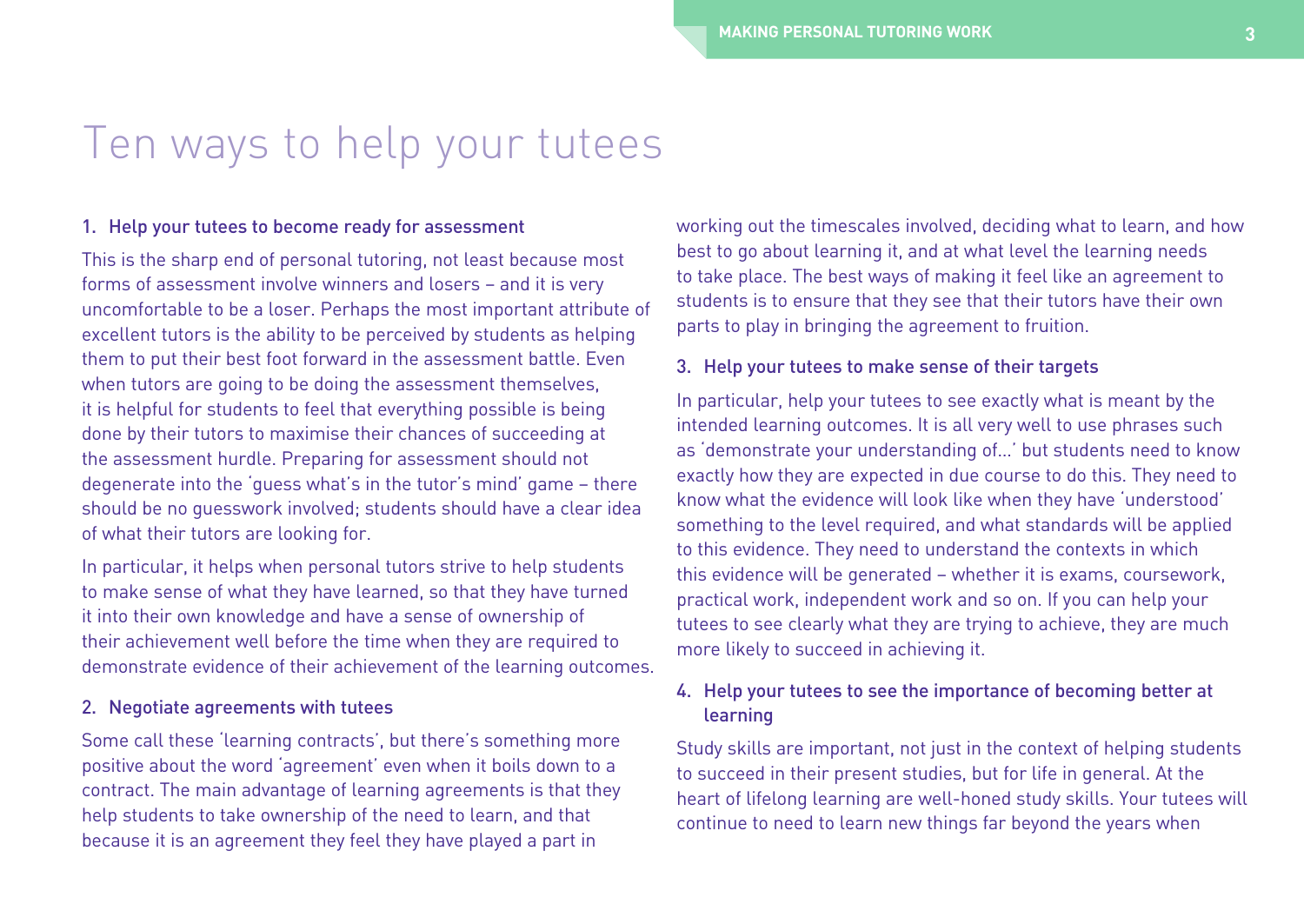# Ten ways to help your tutees

#### 1. Help your tutees to become ready for assessment

This is the sharp end of personal tutoring, not least because most forms of assessment involve winners and losers – and it is very uncomfortable to be a loser. Perhaps the most important attribute of excellent tutors is the ability to be perceived by students as helping them to put their best foot forward in the assessment battle. Even when tutors are going to be doing the assessment themselves, it is helpful for students to feel that everything possible is being done by their tutors to maximise their chances of succeeding at the assessment hurdle. Preparing for assessment should not degenerate into the 'guess what's in the tutor's mind' game – there should be no guesswork involved; students should have a clear idea of what their tutors are looking for.

In particular, it helps when personal tutors strive to help students to make sense of what they have learned, so that they have turned it into their own knowledge and have a sense of ownership of their achievement well before the time when they are required to demonstrate evidence of their achievement of the learning outcomes.

#### 2. Negotiate agreements with tutees

Some call these 'learning contracts', but there's something more positive about the word 'agreement' even when it boils down to a contract. The main advantage of learning agreements is that they help students to take ownership of the need to learn, and that because it is an agreement they feel they have played a part in

working out the timescales involved, deciding what to learn, and how best to go about learning it, and at what level the learning needs to take place. The best ways of making it feel like an agreement to students is to ensure that they see that their tutors have their own parts to play in bringing the agreement to fruition.

#### 3. Help your tutees to make sense of their targets

In particular, help your tutees to see exactly what is meant by the intended learning outcomes. It is all very well to use phrases such as 'demonstrate your understanding of…' but students need to know exactly how they are expected in due course to do this. They need to know what the evidence will look like when they have 'understood' something to the level required, and what standards will be applied to this evidence. They need to understand the contexts in which this evidence will be generated – whether it is exams, coursework, practical work, independent work and so on. If you can help your tutees to see clearly what they are trying to achieve, they are much more likely to succeed in achieving it.

# 4. Help your tutees to see the importance of becoming better at learning

Study skills are important, not just in the context of helping students to succeed in their present studies, but for life in general. At the heart of lifelong learning are well-honed study skills. Your tutees will continue to need to learn new things far beyond the years when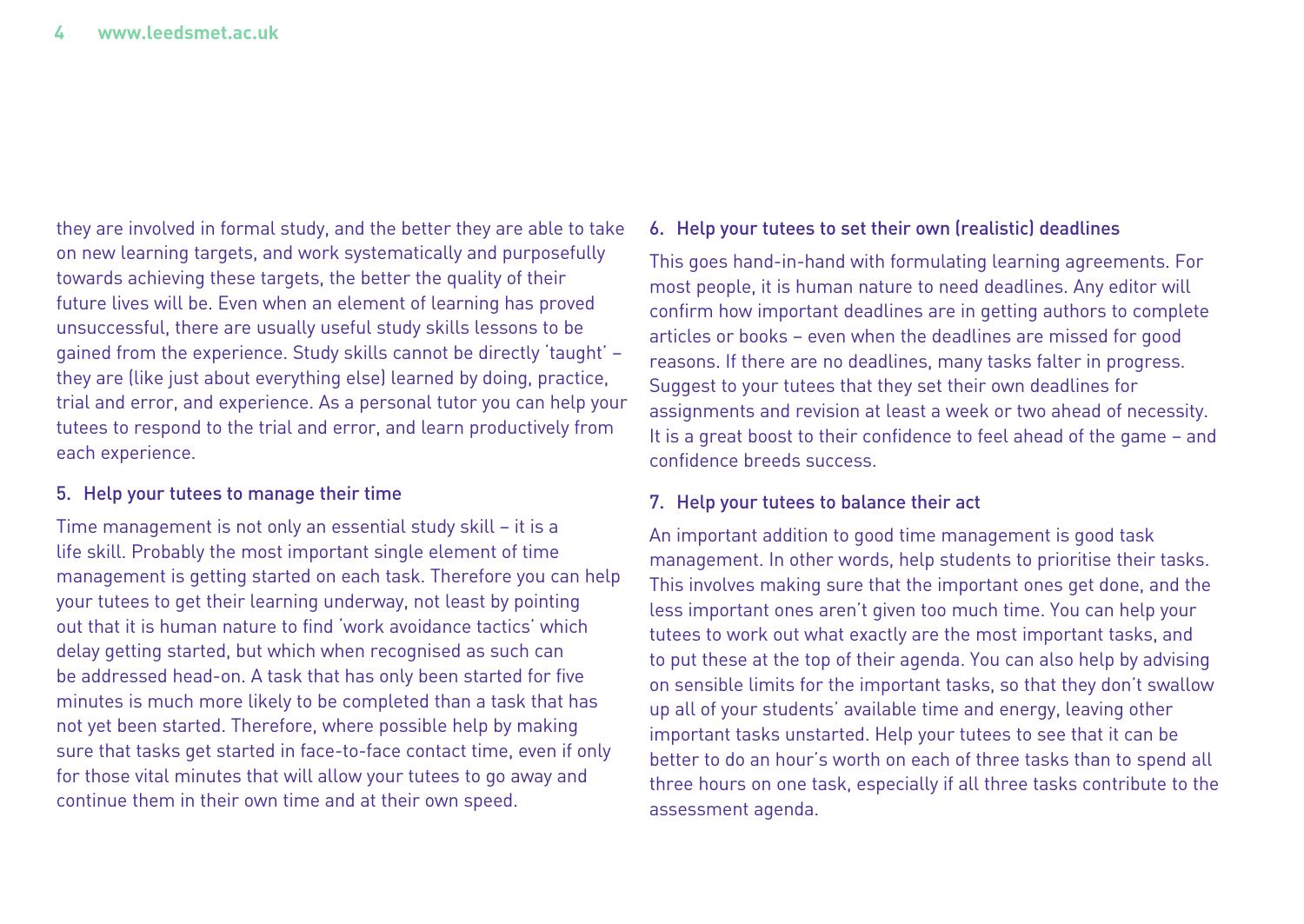they are involved in formal study, and the better they are able to take on new learning targets, and work systematically and purposefully towards achieving these targets, the better the quality of their future lives will be. Even when an element of learning has proved unsuccessful, there are usually useful study skills lessons to be gained from the experience. Study skills cannot be directly 'taught' – they are (like just about everything else) learned by doing, practice, trial and error, and experience. As a personal tutor you can help your tutees to respond to the trial and error, and learn productively from each experience.

#### 5. Help your tutees to manage their time

Time management is not only an essential study skill – it is a life skill. Probably the most important single element of time management is getting started on each task. Therefore you can help your tutees to get their learning underway, not least by pointing out that it is human nature to find 'work avoidance tactics' which delay getting started, but which when recognised as such can be addressed head-on. A task that has only been started for five minutes is much more likely to be completed than a task that has not yet been started. Therefore, where possible help by making sure that tasks get started in face-to-face contact time, even if only for those vital minutes that will allow your tutees to go away and continue them in their own time and at their own speed.

### 6. Help your tutees to set their own (realistic) deadlines

This goes hand-in-hand with formulating learning agreements. For most people, it is human nature to need deadlines. Any editor will confirm how important deadlines are in getting authors to complete articles or books – even when the deadlines are missed for good reasons. If there are no deadlines, many tasks falter in progress. Suggest to your tutees that they set their own deadlines for assignments and revision at least a week or two ahead of necessity. It is a great boost to their confidence to feel ahead of the game – and confidence breeds success.

#### 7. Help your tutees to balance their act

An important addition to good time management is good task management. In other words, help students to prioritise their tasks. This involves making sure that the important ones get done, and the less important ones aren't given too much time. You can help your tutees to work out what exactly are the most important tasks, and to put these at the top of their agenda. You can also help by advising on sensible limits for the important tasks, so that they don't swallow up all of your students' available time and energy, leaving other important tasks unstarted. Help your tutees to see that it can be better to do an hour's worth on each of three tasks than to spend all three hours on one task, especially if all three tasks contribute to the assessment agenda.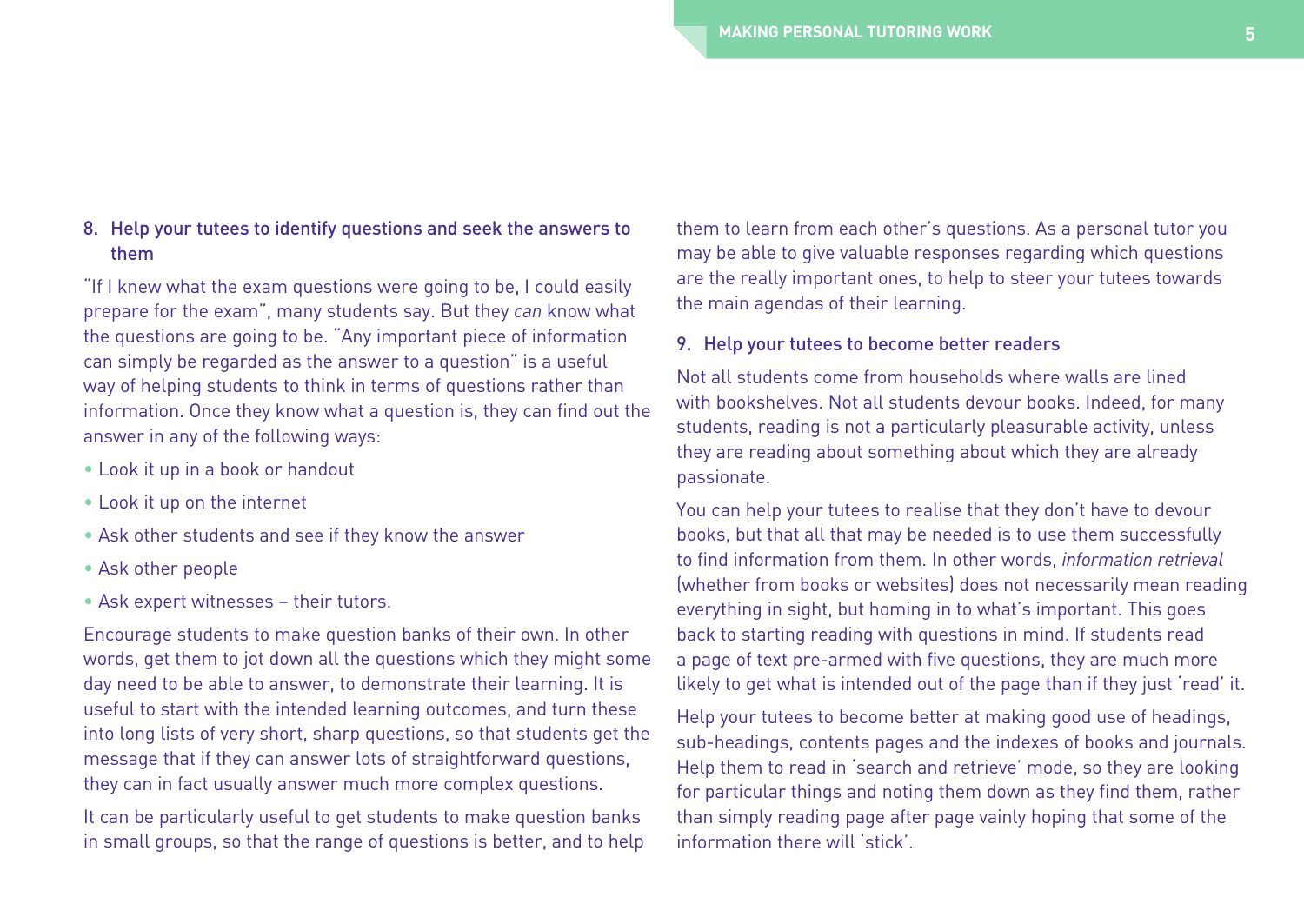### 8. Help your tutees to identify questions and seek the answers to them

"If I knew what the exam questions were going to be, I could easily prepare for the exam", many students say. But they *can* know what the questions are going to be. "Any important piece of information can simply be regarded as the answer to a question" is a useful way of helping students to think in terms of questions rather than information. Once they know what a question is, they can find out the answer in any of the following ways:

- Look it up in a book or handout
- Look it up on the internet
- Ask other students and see if they know the answer
- Ask other people
- Ask expert witnesses their tutors.

Encourage students to make question banks of their own. In other words, get them to jot down all the questions which they might some day need to be able to answer, to demonstrate their learning. It is useful to start with the intended learning outcomes, and turn these into long lists of very short, sharp questions, so that students get the message that if they can answer lots of straightforward questions, they can in fact usually answer much more complex questions.

It can be particularly useful to get students to make question banks in small groups, so that the range of questions is better, and to help them to learn from each other's questions. As a personal tutor you may be able to give valuable responses regarding which questions are the really important ones, to help to steer your tutees towards the main agendas of their learning.

#### 9. Help your tutees to become better readers

Not all students come from households where walls are lined with bookshelves. Not all students devour books. Indeed, for many students, reading is not a particularly pleasurable activity, unless they are reading about something about which they are already passionate.

You can help your tutees to realise that they don't have to devour books, but that all that may be needed is to use them successfully to find information from them. In other words, *information retrieval*  (whether from books or websites) does not necessarily mean reading everything in sight, but homing in to what's important. This goes back to starting reading with questions in mind. If students read a page of text pre-armed with five questions, they are much more likely to get what is intended out of the page than if they just 'read' it.

Help your tutees to become better at making good use of headings, sub-headings, contents pages and the indexes of books and journals. Help them to read in 'search and retrieve' mode, so they are looking for particular things and noting them down as they find them, rather than simply reading page after page vainly hoping that some of the information there will 'stick'.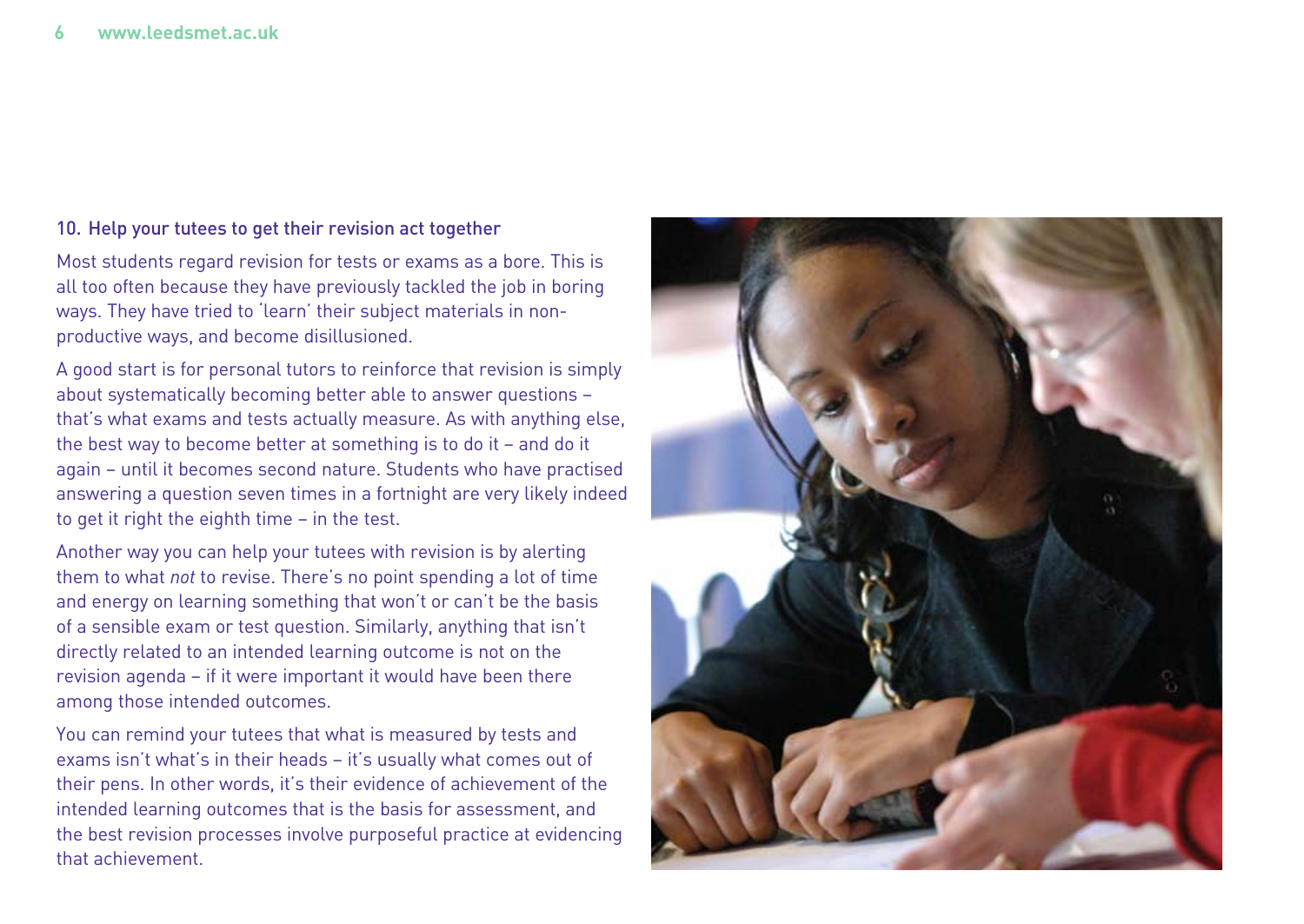### 10. Help your tutees to get their revision act together

Most students regard revision for tests or exams as a bore. This is all too often because they have previously tackled the job in boring ways. They have tried to 'learn' their subject materials in nonproductive ways, and become disillusioned.

A good start is for personal tutors to reinforce that revision is simply about systematically becoming better able to answer questions – that's what exams and tests actually measure. As with anything else, the best way to become better at something is to do it – and do it again – until it becomes second nature. Students who have practised answering a question seven times in a fortnight are very likely indeed to get it right the eighth time – in the test.

Another way you can help your tutees with revision is by alerting them to what *not* to revise. There's no point spending a lot of time and energy on learning something that won't or can't be the basis of a sensible exam or test question. Similarly, anything that isn't directly related to an intended learning outcome is not on the revision agenda – if it were important it would have been there among those intended outcomes.

You can remind your tutees that what is measured by tests and exams isn't what's in their heads – it's usually what comes out of their pens. In other words, it's their evidence of achievement of the intended learning outcomes that is the basis for assessment, and the best revision processes involve purposeful practice at evidencing that achievement.

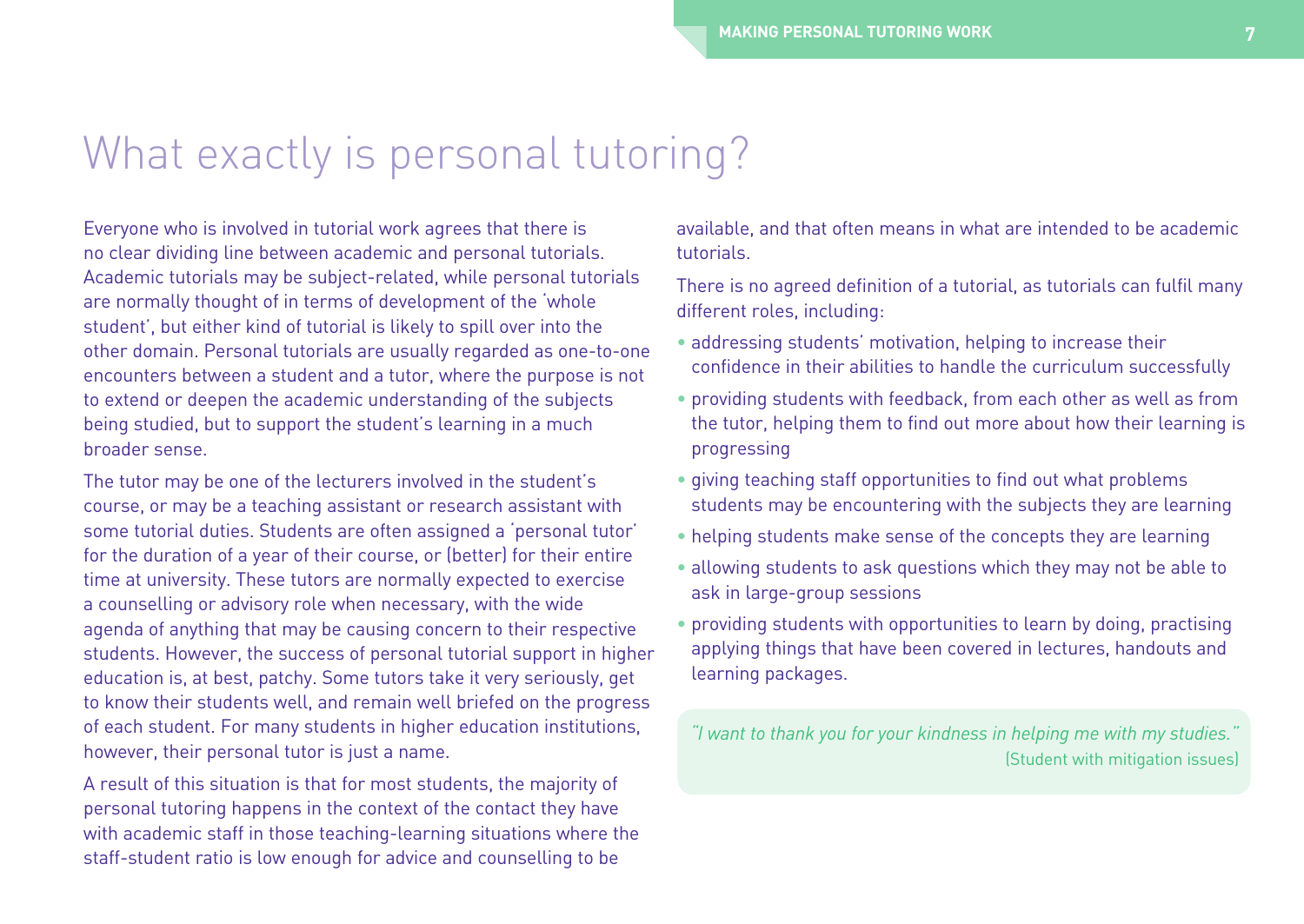# What exactly is personal tutoring?

Everyone who is involved in tutorial work agrees that there is no clear dividing line between academic and personal tutorials. Academic tutorials may be subject-related, while personal tutorials are normally thought of in terms of development of the 'whole student', but either kind of tutorial is likely to spill over into the other domain. Personal tutorials are usually regarded as one-to-one encounters between a student and a tutor, where the purpose is not to extend or deepen the academic understanding of the subjects being studied, but to support the student's learning in a much broader sense.

The tutor may be one of the lecturers involved in the student's course, or may be a teaching assistant or research assistant with some tutorial duties. Students are often assigned a 'personal tutor' for the duration of a year of their course, or (better) for their entire time at university. These tutors are normally expected to exercise a counselling or advisory role when necessary, with the wide agenda of anything that may be causing concern to their respective students. However, the success of personal tutorial support in higher education is, at best, patchy. Some tutors take it very seriously, get to know their students well, and remain well briefed on the progress of each student. For many students in higher education institutions, however, their personal tutor is just a name.

A result of this situation is that for most students, the majority of personal tutoring happens in the context of the contact they have with academic staff in those teaching-learning situations where the staff-student ratio is low enough for advice and counselling to be

available, and that often means in what are intended to be academic tutorials.

There is no agreed definition of a tutorial, as tutorials can fulfil many different roles, including:

- addressing students' motivation, helping to increase their confidence in their abilities to handle the curriculum successfully
- providing students with feedback, from each other as well as from the tutor, helping them to find out more about how their learning is progressing
- giving teaching staff opportunities to find out what problems students may be encountering with the subjects they are learning
- helping students make sense of the concepts they are learning
- allowing students to ask questions which they may not be able to ask in large-group sessions
- providing students with opportunities to learn by doing, practising applying things that have been covered in lectures, handouts and learning packages.

*"I want to thank you for your kindness in helping me with my studies."*  (Student with mitigation issues)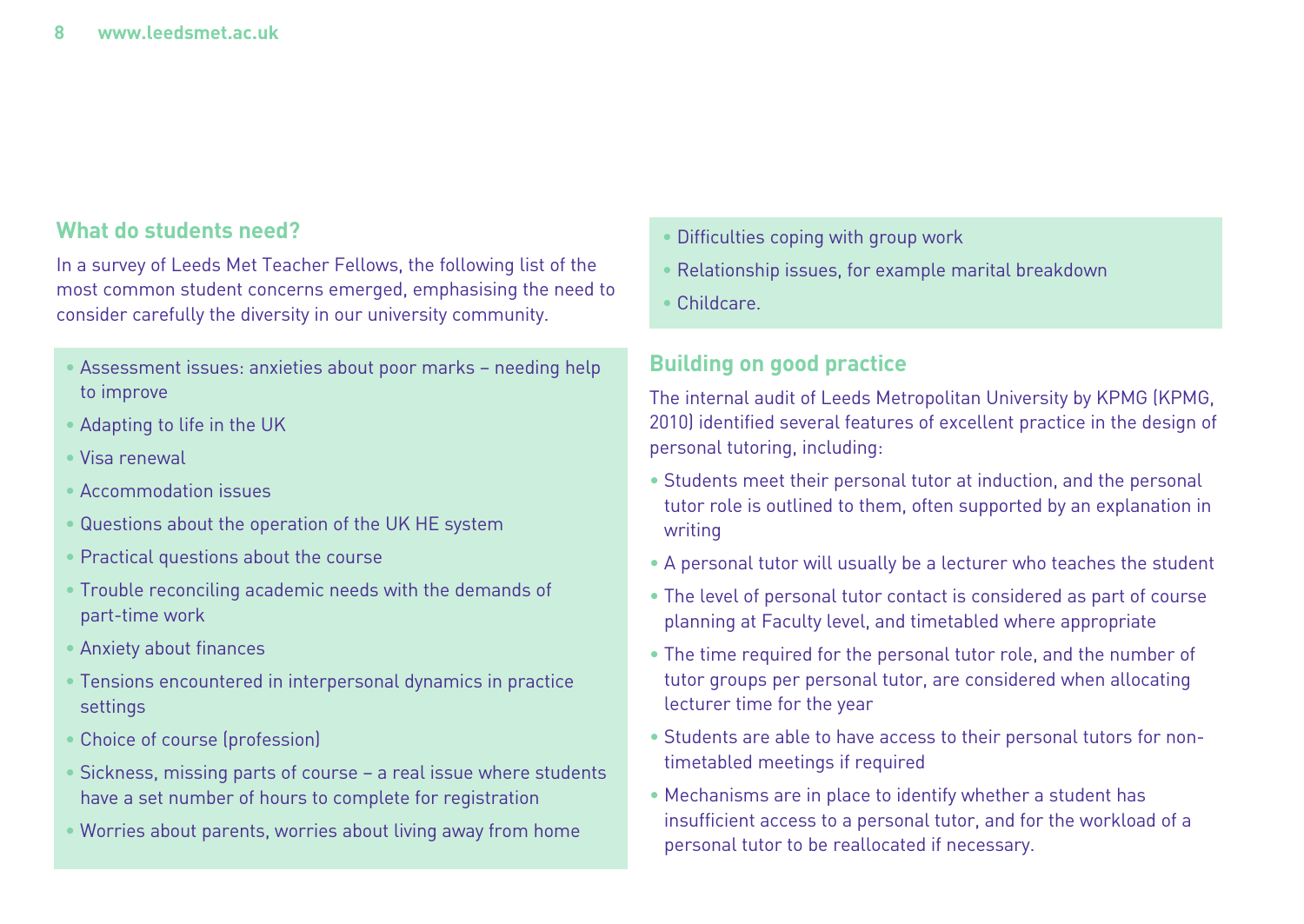# **What do students need?**

In a survey of Leeds Met Teacher Fellows, the following list of the most common student concerns emerged, emphasising the need to consider carefully the diversity in our university community.

- Assessment issues: anxieties about poor marks needing help to improve
- Adapting to life in the UK
- Visa renewal
- Accommodation issues
- Questions about the operation of the UK HE system
- Practical questions about the course
- Trouble reconciling academic needs with the demands of part-time work
- Anxiety about finances
- Tensions encountered in interpersonal dynamics in practice settings
- Choice of course (profession)
- Sickness, missing parts of course a real issue where students have a set number of hours to complete for registration
- Worries about parents, worries about living away from home
- Difficulties coping with group work
- Relationship issues, for example marital breakdown
- Childcare.

# **Building on good practice**

The internal audit of Leeds Metropolitan University by KPMG (KPMG, 2010) identified several features of excellent practice in the design of personal tutoring, including:

- Students meet their personal tutor at induction, and the personal tutor role is outlined to them, often supported by an explanation in writing
- A personal tutor will usually be a lecturer who teaches the student
- The level of personal tutor contact is considered as part of course planning at Faculty level, and timetabled where appropriate
- The time required for the personal tutor role, and the number of tutor groups per personal tutor, are considered when allocating lecturer time for the year
- Students are able to have access to their personal tutors for nontimetabled meetings if required
- Mechanisms are in place to identify whether a student has insufficient access to a personal tutor, and for the workload of a personal tutor to be reallocated if necessary.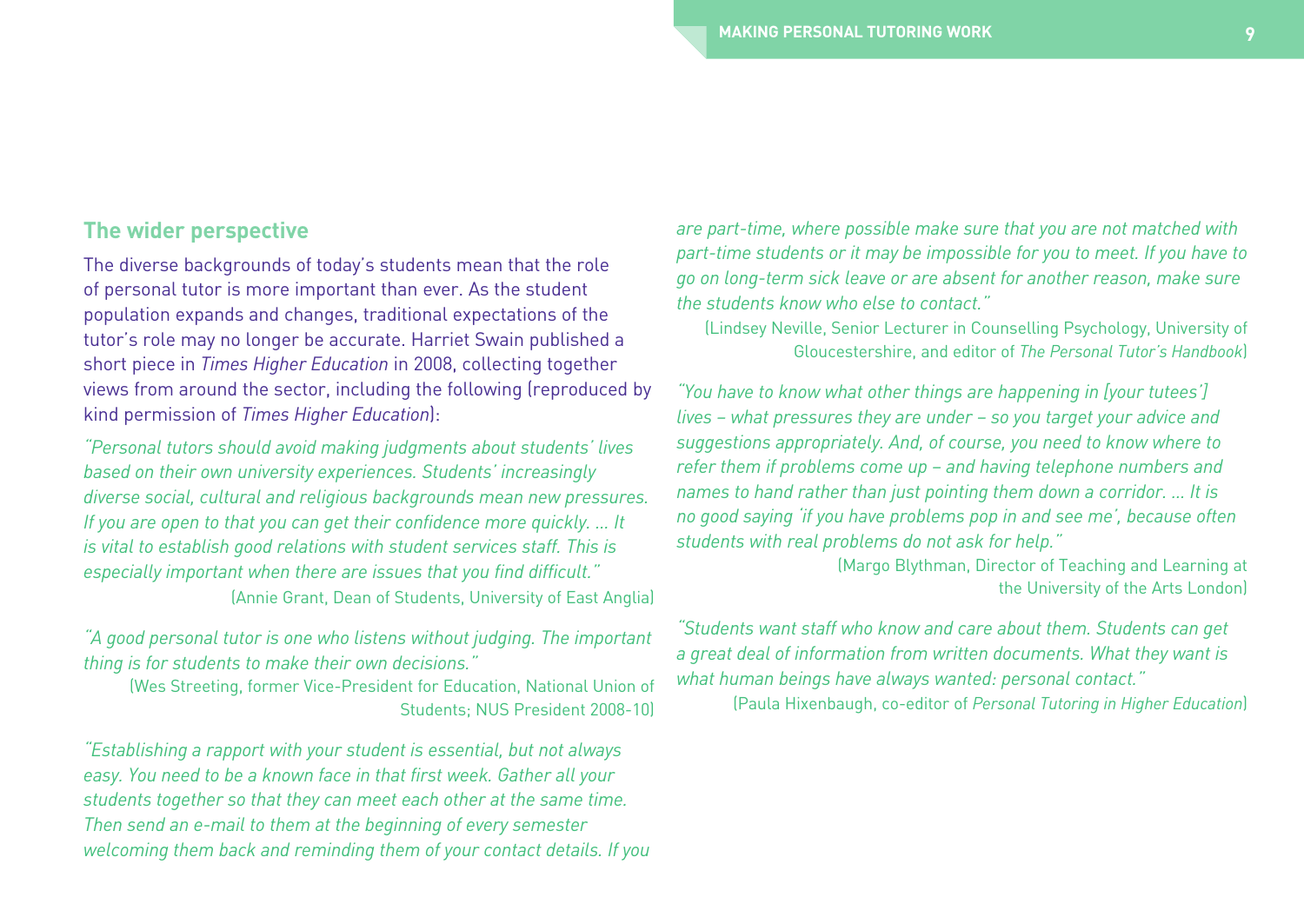### **The wider perspective**

The diverse backgrounds of today's students mean that the role of personal tutor is more important than ever. As the student population expands and changes, traditional expectations of the tutor's role may no longer be accurate. Harriet Swain published a short piece in *Times Higher Education* in 2008, collecting together views from around the sector, including the following (reproduced by kind permission of *Times Higher Education*):

*"Personal tutors should avoid making judgments about students' lives based on their own university experiences. Students' increasingly diverse social, cultural and religious backgrounds mean new pressures. If you are open to that you can get their confidence more quickly. … It is vital to establish good relations with student services staff. This is especially important when there are issues that you find difficult."* (Annie Grant, Dean of Students, University of East Anglia)

*"A good personal tutor is one who listens without judging. The important thing is for students to make their own decisions."* 

(Wes Streeting, former Vice-President for Education, National Union of Students; NUS President 2008-10)

*"Establishing a rapport with your student is essential, but not always easy. You need to be a known face in that first week. Gather all your students together so that they can meet each other at the same time. Then send an e-mail to them at the beginning of every semester welcoming them back and reminding them of your contact details. If you* 

*are part-time, where possible make sure that you are not matched with part-time students or it may be impossible for you to meet. If you have to go on long-term sick leave or are absent for another reason, make sure the students know who else to contact."*

(Lindsey Neville, Senior Lecturer in Counselling Psychology, University of Gloucestershire, and editor of *The Personal Tutor's Handbook*)

*"You have to know what other things are happening in [your tutees'] lives – what pressures they are under – so you target your advice and suggestions appropriately. And, of course, you need to know where to refer them if problems come up – and having telephone numbers and names to hand rather than just pointing them down a corridor. … It is no good saying 'if you have problems pop in and see me', because often students with real problems do not ask for help."*

> (Margo Blythman, Director of Teaching and Learning at the University of the Arts London)

*"Students want staff who know and care about them. Students can get a great deal of information from written documents. What they want is what human beings have always wanted: personal contact."* 

(Paula Hixenbaugh, co-editor of *Personal Tutoring in Higher Education*)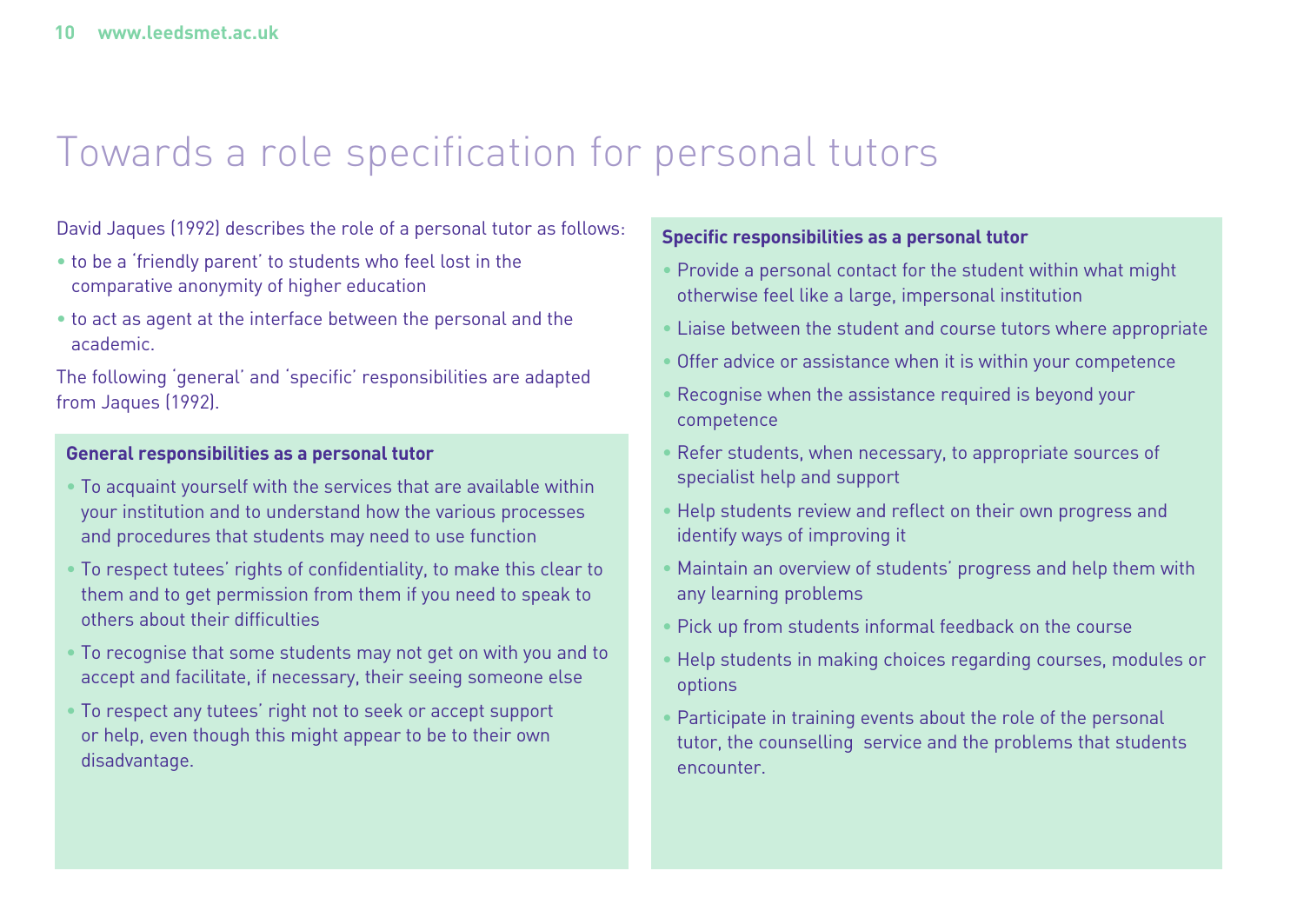# Towards a role specification for personal tutors

David Jaques (1992) describes the role of a personal tutor as follows:

- to be a 'friendly parent' to students who feel lost in the comparative anonymity of higher education
- to act as agent at the interface between the personal and the academic.

The following 'general' and 'specific' responsibilities are adapted from Jaques (1992).

# **General responsibilities as a personal tutor**

- To acquaint yourself with the services that are available within your institution and to understand how the various processes and procedures that students may need to use function
- To respect tutees' rights of confidentiality, to make this clear to them and to get permission from them if you need to speak to others about their difficulties
- To recognise that some students may not get on with you and to accept and facilitate, if necessary, their seeing someone else
- To respect any tutees' right not to seek or accept support or help, even though this might appear to be to their own disadvantage.

#### **Specific responsibilities as a personal tutor**

- Provide a personal contact for the student within what might otherwise feel like a large, impersonal institution
- Liaise between the student and course tutors where appropriate
- Offer advice or assistance when it is within your competence
- Recognise when the assistance required is beyond your competence
- Refer students, when necessary, to appropriate sources of specialist help and support
- Help students review and reflect on their own progress and identify ways of improving it
- Maintain an overview of students' progress and help them with any learning problems
- Pick up from students informal feedback on the course
- Help students in making choices regarding courses, modules or options
- Participate in training events about the role of the personal tutor, the counselling service and the problems that students encounter.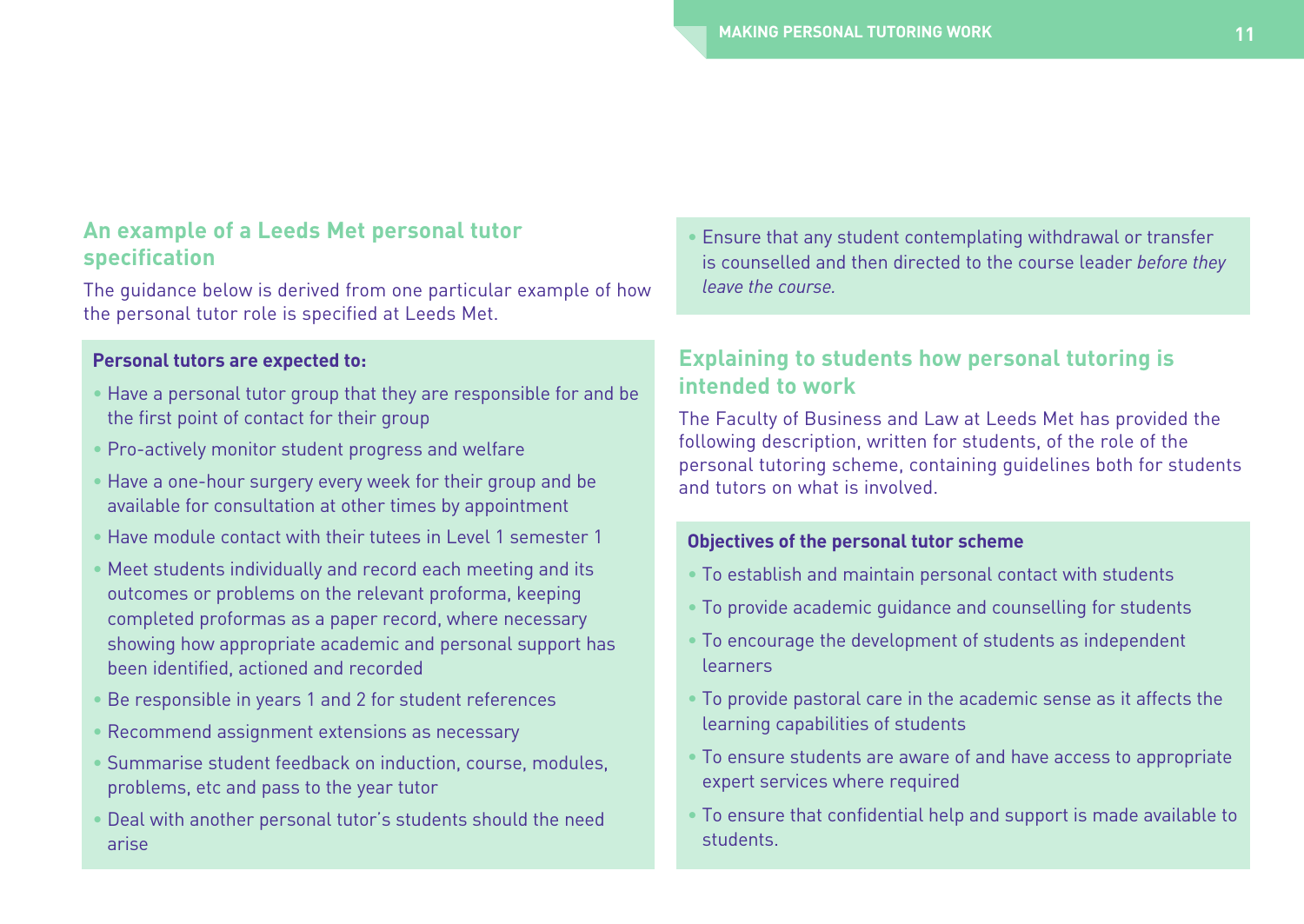# **An example of a Leeds Met personal tutor specification**

The guidance below is derived from one particular example of how the personal tutor role is specified at Leeds Met.

#### **Personal tutors are expected to:**

- Have a personal tutor group that they are responsible for and be the first point of contact for their group
- Pro-actively monitor student progress and welfare
- Have a one-hour surgery every week for their group and be available for consultation at other times by appointment
- Have module contact with their tutees in Level 1 semester 1
- Meet students individually and record each meeting and its outcomes or problems on the relevant proforma, keeping completed proformas as a paper record, where necessary showing how appropriate academic and personal support has been identified, actioned and recorded
- Be responsible in years 1 and 2 for student references
- Recommend assignment extensions as necessary
- Summarise student feedback on induction, course, modules, problems, etc and pass to the year tutor
- Deal with another personal tutor's students should the need arise

• Ensure that any student contemplating withdrawal or transfer is counselled and then directed to the course leader *before they leave the course.*

# **Explaining to students how personal tutoring is intended to work**

The Faculty of Business and Law at Leeds Met has provided the following description, written for students, of the role of the personal tutoring scheme, containing guidelines both for students and tutors on what is involved.

# **Objectives of the personal tutor scheme**

- To establish and maintain personal contact with students
- To provide academic guidance and counselling for students
- To encourage the development of students as independent learners
- To provide pastoral care in the academic sense as it affects the learning capabilities of students
- To ensure students are aware of and have access to appropriate expert services where required
- To ensure that confidential help and support is made available to students.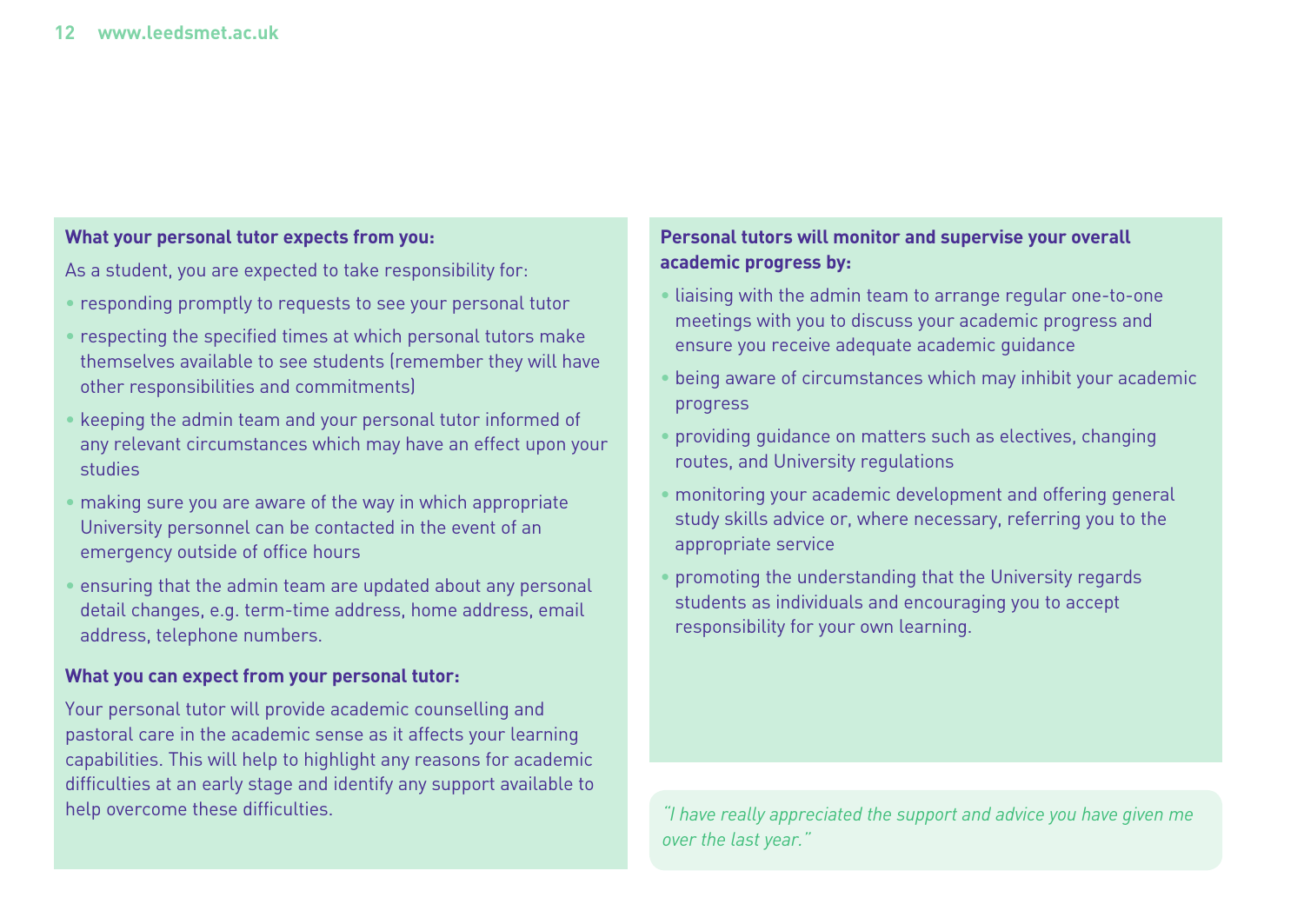### **What your personal tutor expects from you:**

As a student, you are expected to take responsibility for:

- responding promptly to requests to see your personal tutor
- respecting the specified times at which personal tutors make themselves available to see students (remember they will have other responsibilities and commitments)
- keeping the admin team and your personal tutor informed of any relevant circumstances which may have an effect upon your studies
- making sure you are aware of the way in which appropriate University personnel can be contacted in the event of an emergency outside of office hours
- ensuring that the admin team are updated about any personal detail changes, e.g. term-time address, home address, email address, telephone numbers.

#### **What you can expect from your personal tutor:**

Your personal tutor will provide academic counselling and pastoral care in the academic sense as it affects your learning capabilities. This will help to highlight any reasons for academic difficulties at an early stage and identify any support available to help overcome these difficulties.

# **Personal tutors will monitor and supervise your overall academic progress by:**

- liaising with the admin team to arrange regular one-to-one meetings with you to discuss your academic progress and ensure you receive adequate academic guidance
- being aware of circumstances which may inhibit your academic progress
- providing guidance on matters such as electives, changing routes, and University regulations
- monitoring your academic development and offering general study skills advice or, where necessary, referring you to the appropriate service
- promoting the understanding that the University regards students as individuals and encouraging you to accept responsibility for your own learning.

*"I have really appreciated the support and advice you have given me over the last year."*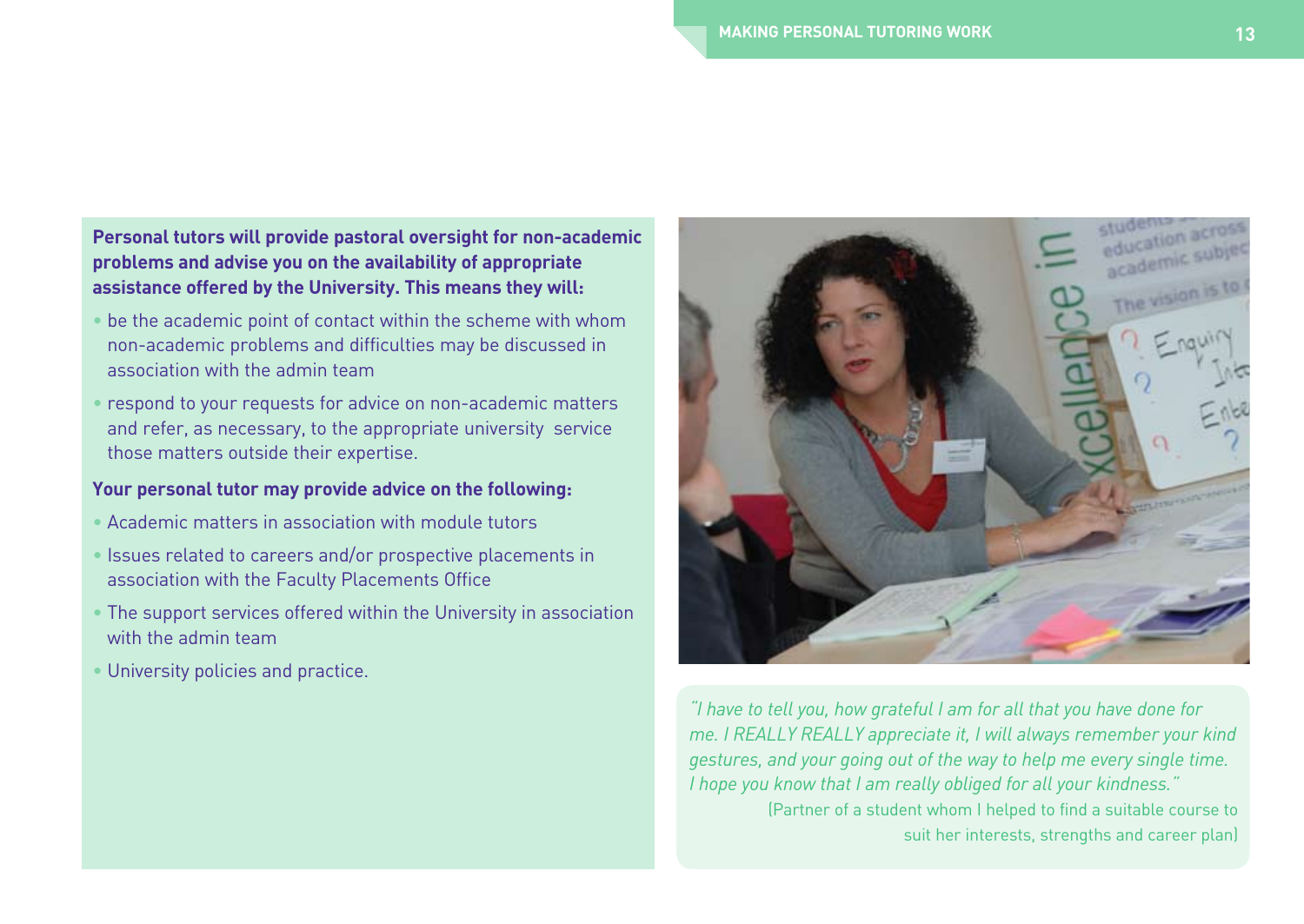### **Personal tutors will provide pastoral oversight for non-academic problems and advise you on the availability of appropriate assistance offered by the University. This means they will:**

- be the academic point of contact within the scheme with whom non-academic problems and difficulties may be discussed in association with the admin team
- respond to your requests for advice on non-academic matters and refer, as necessary, to the appropriate university service those matters outside their expertise.

#### **Your personal tutor may provide advice on the following:**

- Academic matters in association with module tutors
- Issues related to careers and/or prospective placements in association with the Faculty Placements Office
- The support services offered within the University in association with the admin team
- University policies and practice.



*"I have to tell you, how grateful I am for all that you have done for me. I REALLY REALLY appreciate it, I will always remember your kind gestures, and your going out of the way to help me every single time. I hope you know that I am really obliged for all your kindness."* (Partner of a student whom I helped to find a suitable course to

suit her interests, strengths and career plan)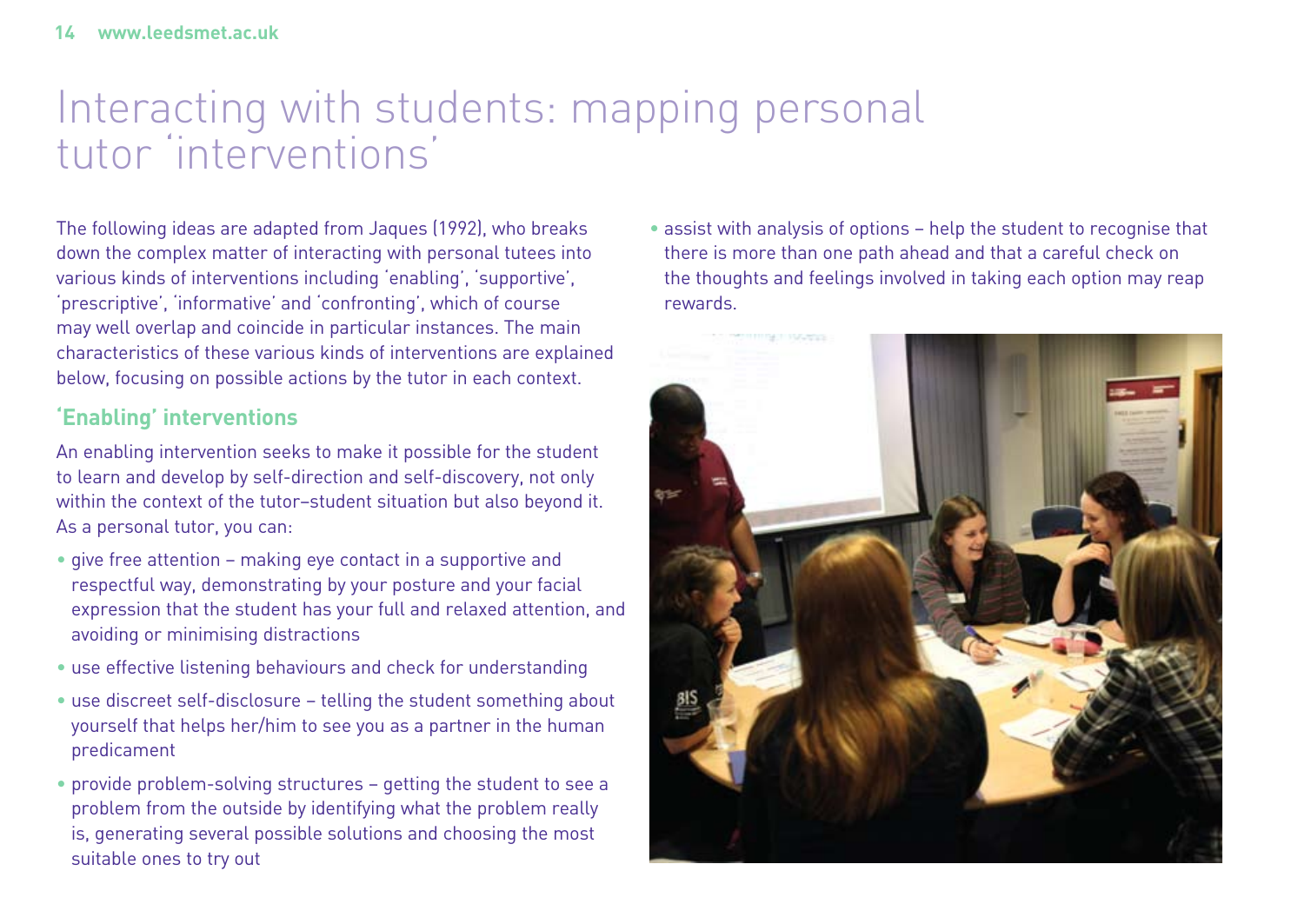# Interacting with students: mapping personal tutor 'interventions'

The following ideas are adapted from Jaques (1992), who breaks down the complex matter of interacting with personal tutees into various kinds of interventions including 'enabling', 'supportive', 'prescriptive', 'informative' and 'confronting', which of course may well overlap and coincide in particular instances. The main characteristics of these various kinds of interventions are explained below, focusing on possible actions by the tutor in each context.

# **'Enabling' interventions**

An enabling intervention seeks to make it possible for the student to learn and develop by self-direction and self-discovery, not only within the context of the tutor–student situation but also beyond it. As a personal tutor, you can:

- give free attention making eye contact in a supportive and respectful way, demonstrating by your posture and your facial expression that the student has your full and relaxed attention, and avoiding or minimising distractions
- use effective listening behaviours and check for understanding
- use discreet self-disclosure telling the student something about yourself that helps her/him to see you as a partner in the human predicament
- provide problem-solving structures getting the student to see a problem from the outside by identifying what the problem really is, generating several possible solutions and choosing the most suitable ones to try out

• assist with analysis of options – help the student to recognise that there is more than one path ahead and that a careful check on the thoughts and feelings involved in taking each option may reap rewards.

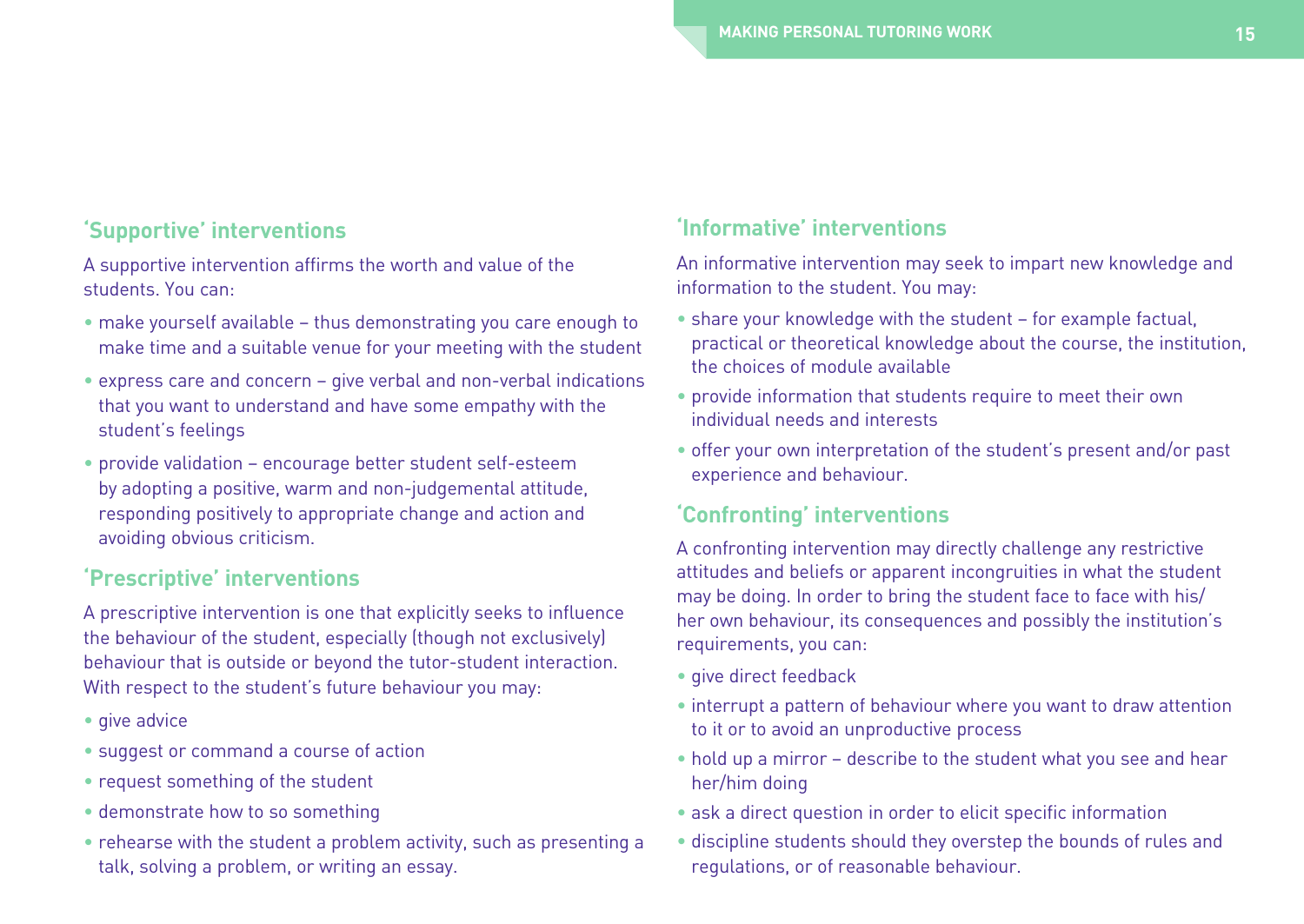# **'Supportive' interventions**

A supportive intervention affirms the worth and value of the students. You can:

- make yourself available thus demonstrating you care enough to make time and a suitable venue for your meeting with the student
- express care and concern give verbal and non-verbal indications that you want to understand and have some empathy with the student's feelings
- provide validation encourage better student self-esteem by adopting a positive, warm and non-judgemental attitude, responding positively to appropriate change and action and avoiding obvious criticism.

# **'Prescriptive' interventions**

A prescriptive intervention is one that explicitly seeks to influence the behaviour of the student, especially (though not exclusively) behaviour that is outside or beyond the tutor-student interaction. With respect to the student's future behaviour you may:

- give advice
- suggest or command a course of action
- request something of the student
- demonstrate how to so something
- rehearse with the student a problem activity, such as presenting a talk, solving a problem, or writing an essay.

# **'Informative' interventions**

An informative intervention may seek to impart new knowledge and information to the student. You may:

- share your knowledge with the student for example factual, practical or theoretical knowledge about the course, the institution, the choices of module available
- provide information that students require to meet their own individual needs and interests
- offer your own interpretation of the student's present and/or past experience and behaviour.

# **'Confronting' interventions**

A confronting intervention may directly challenge any restrictive attitudes and beliefs or apparent incongruities in what the student may be doing. In order to bring the student face to face with his/ her own behaviour, its consequences and possibly the institution's requirements, you can:

- give direct feedback
- interrupt a pattern of behaviour where you want to draw attention to it or to avoid an unproductive process
- hold up a mirror describe to the student what you see and hear her/him doing
- ask a direct question in order to elicit specific information
- discipline students should they overstep the bounds of rules and regulations, or of reasonable behaviour.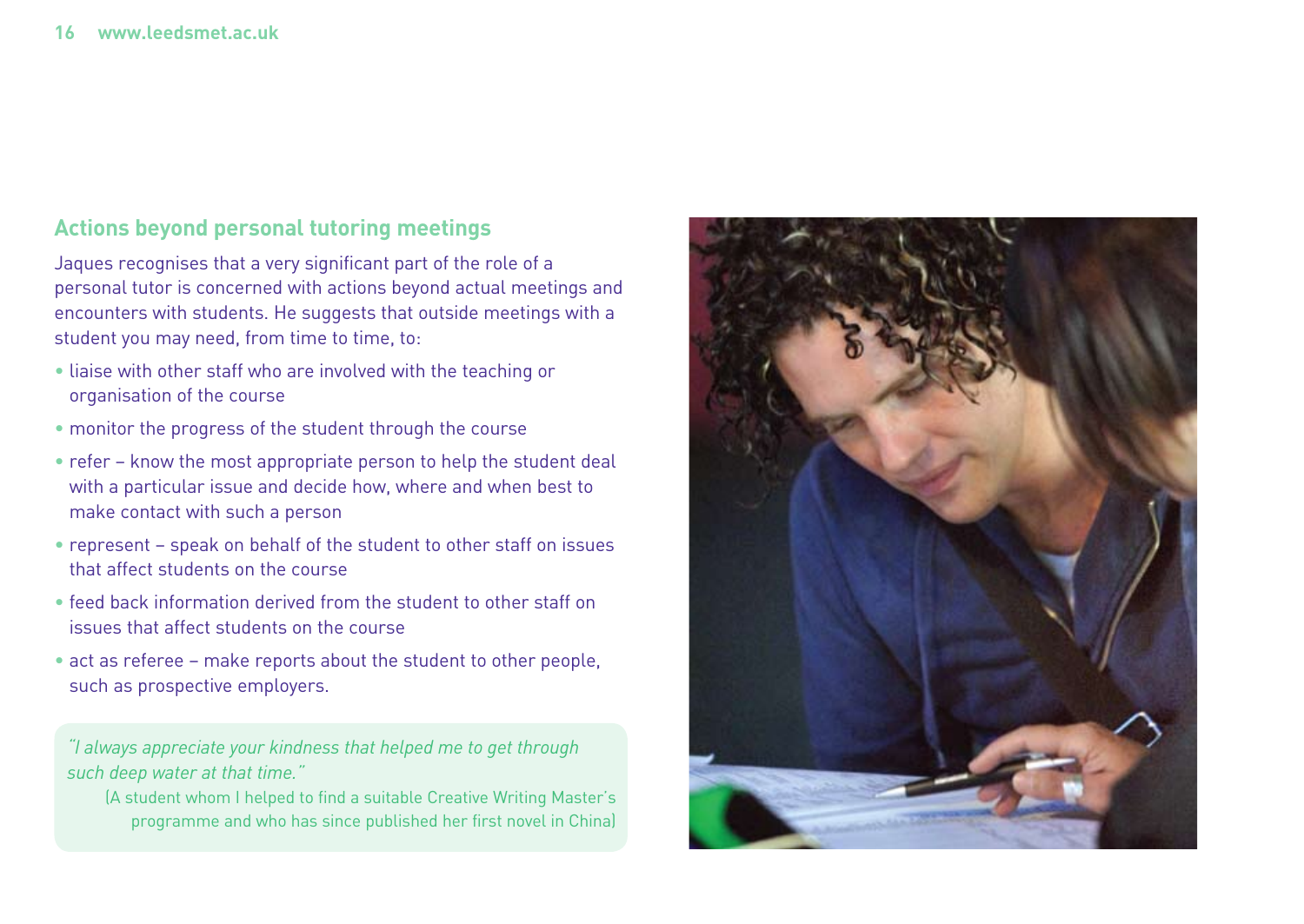# **Actions beyond personal tutoring meetings**

Jaques recognises that a very significant part of the role of a personal tutor is concerned with actions beyond actual meetings and encounters with students. He suggests that outside meetings with a student you may need, from time to time, to:

- liaise with other staff who are involved with the teaching or organisation of the course
- monitor the progress of the student through the course
- refer know the most appropriate person to help the student deal with a particular issue and decide how, where and when best to make contact with such a person
- represent speak on behalf of the student to other staff on issues that affect students on the course
- feed back information derived from the student to other staff on issues that affect students on the course
- act as referee make reports about the student to other people, such as prospective employers.

*"I always appreciate your kindness that helped me to get through such deep water at that time."* 

(A student whom I helped to find a suitable Creative Writing Master's programme and who has since published her first novel in China)

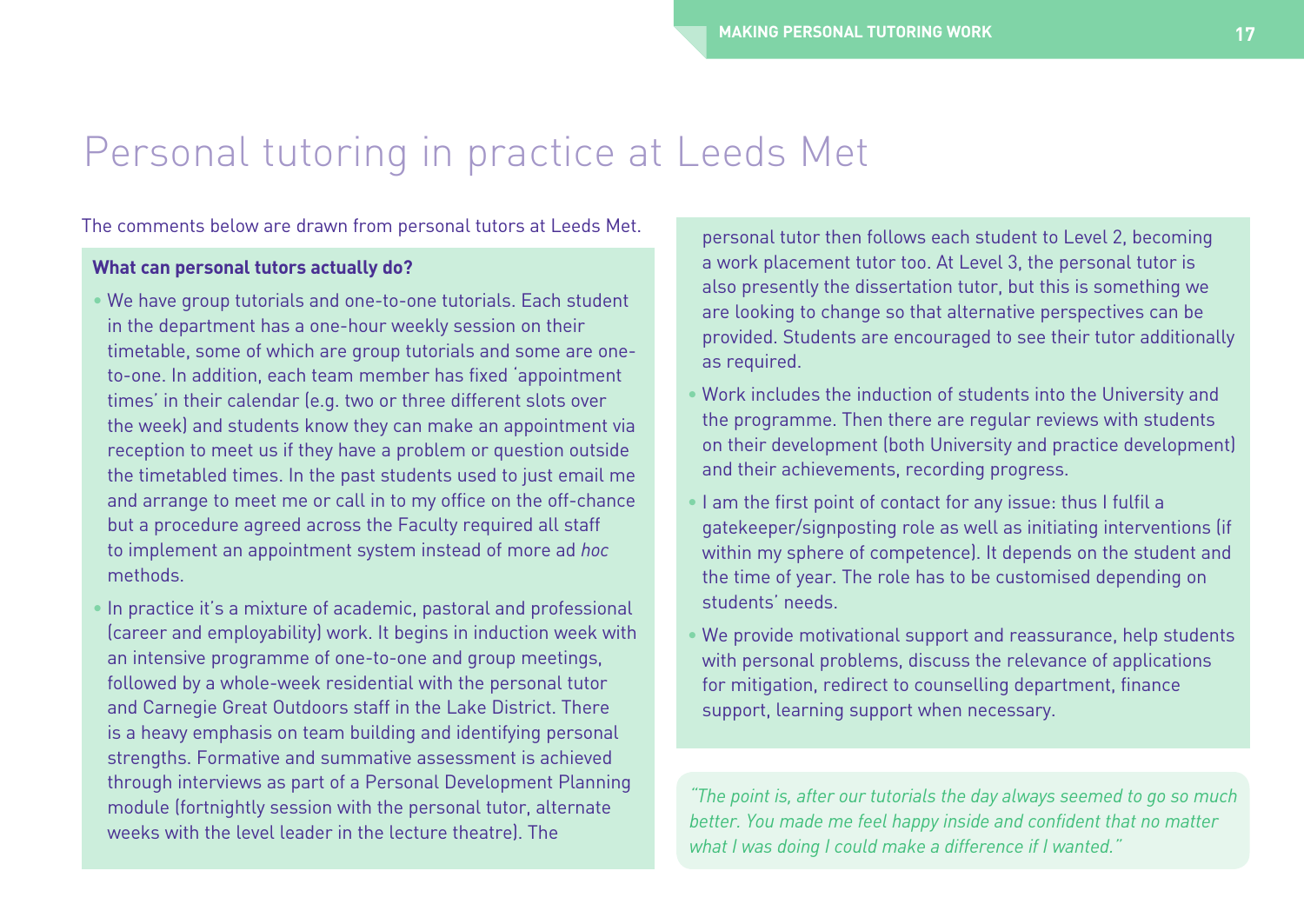# Personal tutoring in practice at Leeds Met

The comments below are drawn from personal tutors at Leeds Met. personal tutor then follows each student to Level 2, becoming

#### **What can personal tutors actually do?**

- We have group tutorials and one-to-one tutorials. Each student in the department has a one-hour weekly session on their timetable, some of which are group tutorials and some are oneto-one. In addition, each team member has fixed 'appointment times' in their calendar (e.g. two or three different slots over the week) and students know they can make an appointment via reception to meet us if they have a problem or question outside the timetabled times. In the past students used to just email me and arrange to meet me or call in to my office on the off-chance but a procedure agreed across the Faculty required all staff to implement an appointment system instead of more ad *hoc*  methods.
- In practice it's a mixture of academic, pastoral and professional (career and employability) work. It begins in induction week with an intensive programme of one-to-one and group meetings, followed by a whole-week residential with the personal tutor and Carnegie Great Outdoors staff in the Lake District. There is a heavy emphasis on team building and identifying personal strengths. Formative and summative assessment is achieved through interviews as part of a Personal Development Planning module (fortnightly session with the personal tutor, alternate weeks with the level leader in the lecture theatre). The

a work placement tutor too. At Level 3, the personal tutor is also presently the dissertation tutor, but this is something we are looking to change so that alternative perspectives can be provided. Students are encouraged to see their tutor additionally as required.

- Work includes the induction of students into the University and the programme. Then there are regular reviews with students on their development (both University and practice development) and their achievements, recording progress.
- I am the first point of contact for any issue: thus I fulfil a gatekeeper/signposting role as well as initiating interventions (if within my sphere of competence). It depends on the student and the time of year. The role has to be customised depending on students' needs.
- We provide motivational support and reassurance, help students with personal problems, discuss the relevance of applications for mitigation, redirect to counselling department, finance support, learning support when necessary.

*"The point is, after our tutorials the day always seemed to go so much better. You made me feel happy inside and confident that no matter what I was doing I could make a difference if I wanted."*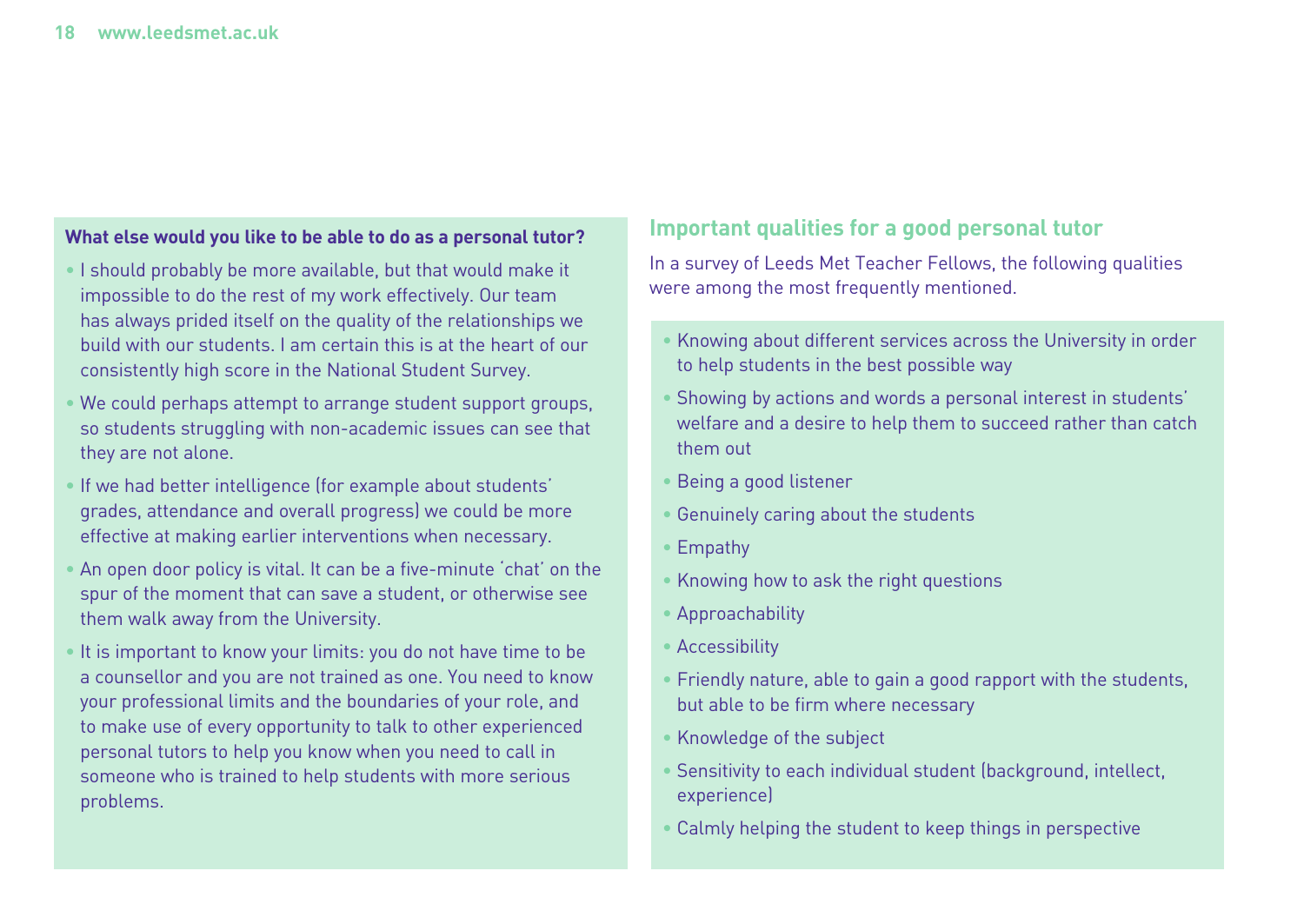#### **What else would you like to be able to do as a personal tutor?**

- I should probably be more available, but that would make it impossible to do the rest of my work effectively. Our team has always prided itself on the quality of the relationships we build with our students. I am certain this is at the heart of our consistently high score in the National Student Survey.
- We could perhaps attempt to arrange student support groups, so students struggling with non-academic issues can see that they are not alone.
- If we had better intelligence (for example about students' grades, attendance and overall progress) we could be more effective at making earlier interventions when necessary.
- An open door policy is vital. It can be a five-minute 'chat' on the spur of the moment that can save a student, or otherwise see them walk away from the University.
- It is important to know your limits: you do not have time to be a counsellor and you are not trained as one. You need to know your professional limits and the boundaries of your role, and to make use of every opportunity to talk to other experienced personal tutors to help you know when you need to call in someone who is trained to help students with more serious problems.

### **Important qualities for a good personal tutor**

In a survey of Leeds Met Teacher Fellows, the following qualities were among the most frequently mentioned.

- Knowing about different services across the University in order to help students in the best possible way
- Showing by actions and words a personal interest in students' welfare and a desire to help them to succeed rather than catch them out
- Being a good listener
- Genuinely caring about the students
- Empathy
- Knowing how to ask the right questions
- Approachability
- Accessibility
- Friendly nature, able to gain a good rapport with the students, but able to be firm where necessary
- Knowledge of the subject
- Sensitivity to each individual student (background, intellect, experience)
- Calmly helping the student to keep things in perspective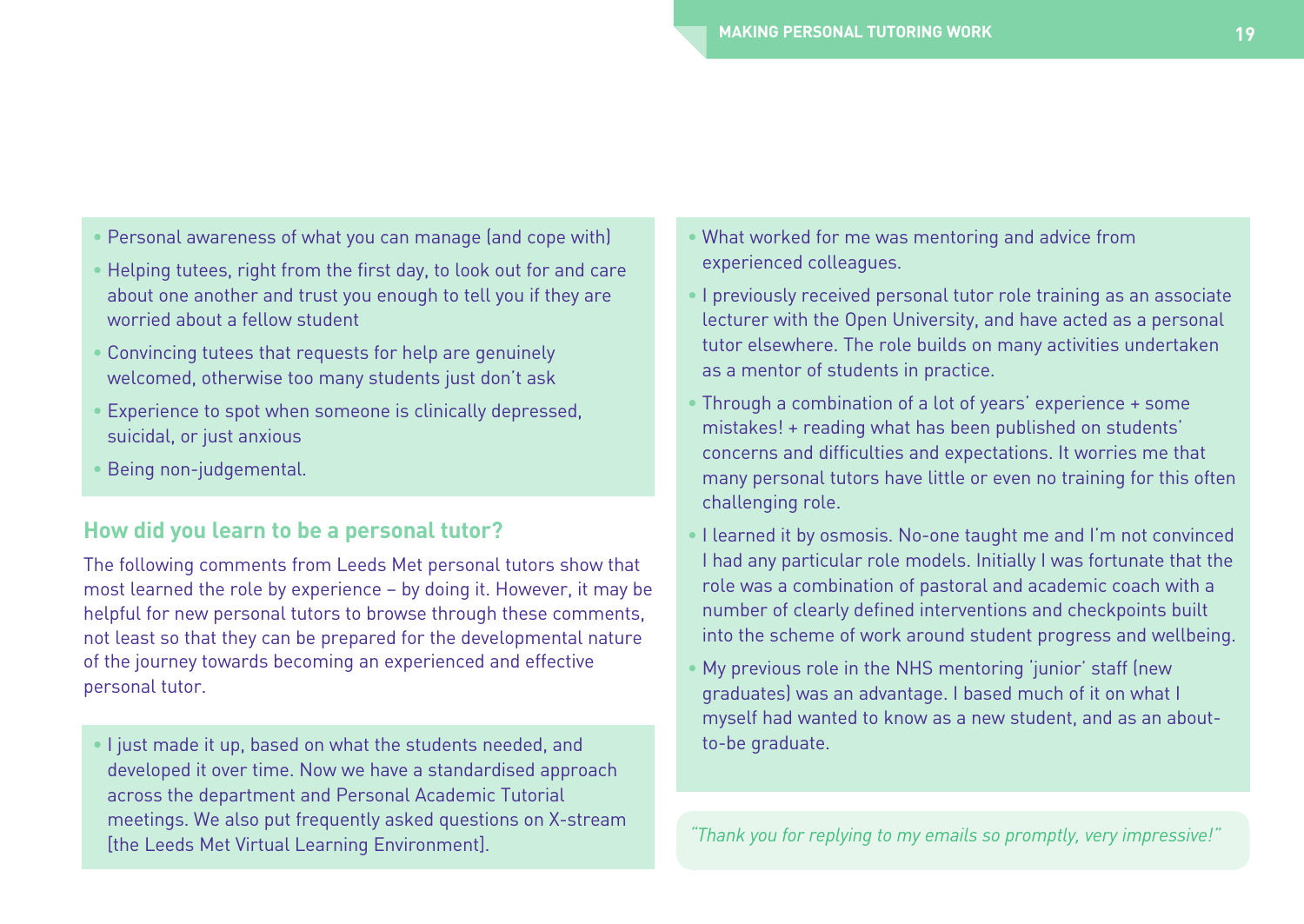- Personal awareness of what you can manage (and cope with)
- Helping tutees, right from the first day, to look out for and care about one another and trust you enough to tell you if they are worried about a fellow student
- Convincing tutees that requests for help are genuinely welcomed, otherwise too many students just don't ask
- Experience to spot when someone is clinically depressed, suicidal, or just anxious
- Being non-judgemental.

# **How did you learn to be a personal tutor?**

The following comments from Leeds Met personal tutors show that most learned the role by experience – by doing it. However, it may be helpful for new personal tutors to browse through these comments, not least so that they can be prepared for the developmental nature of the journey towards becoming an experienced and effective personal tutor.

• I just made it up, based on what the students needed, and developed it over time. Now we have a standardised approach across the department and Personal Academic Tutorial meetings. We also put frequently asked questions on X-stream [the Leeds Met Virtual Learning Environment]. *"Thank you for replying to my emails so promptly, very impressive!"*

- What worked for me was mentoring and advice from experienced colleagues.
- I previously received personal tutor role training as an associate lecturer with the Open University, and have acted as a personal tutor elsewhere. The role builds on many activities undertaken as a mentor of students in practice.
- Through a combination of a lot of years' experience + some mistakes! + reading what has been published on students' concerns and difficulties and expectations. It worries me that many personal tutors have little or even no training for this often challenging role.
- I learned it by osmosis. No-one taught me and I'm not convinced I had any particular role models. Initially I was fortunate that the role was a combination of pastoral and academic coach with a number of clearly defined interventions and checkpoints built into the scheme of work around student progress and wellbeing.
- My previous role in the NHS mentoring 'junior' staff (new graduates) was an advantage. I based much of it on what I myself had wanted to know as a new student, and as an aboutto-be graduate.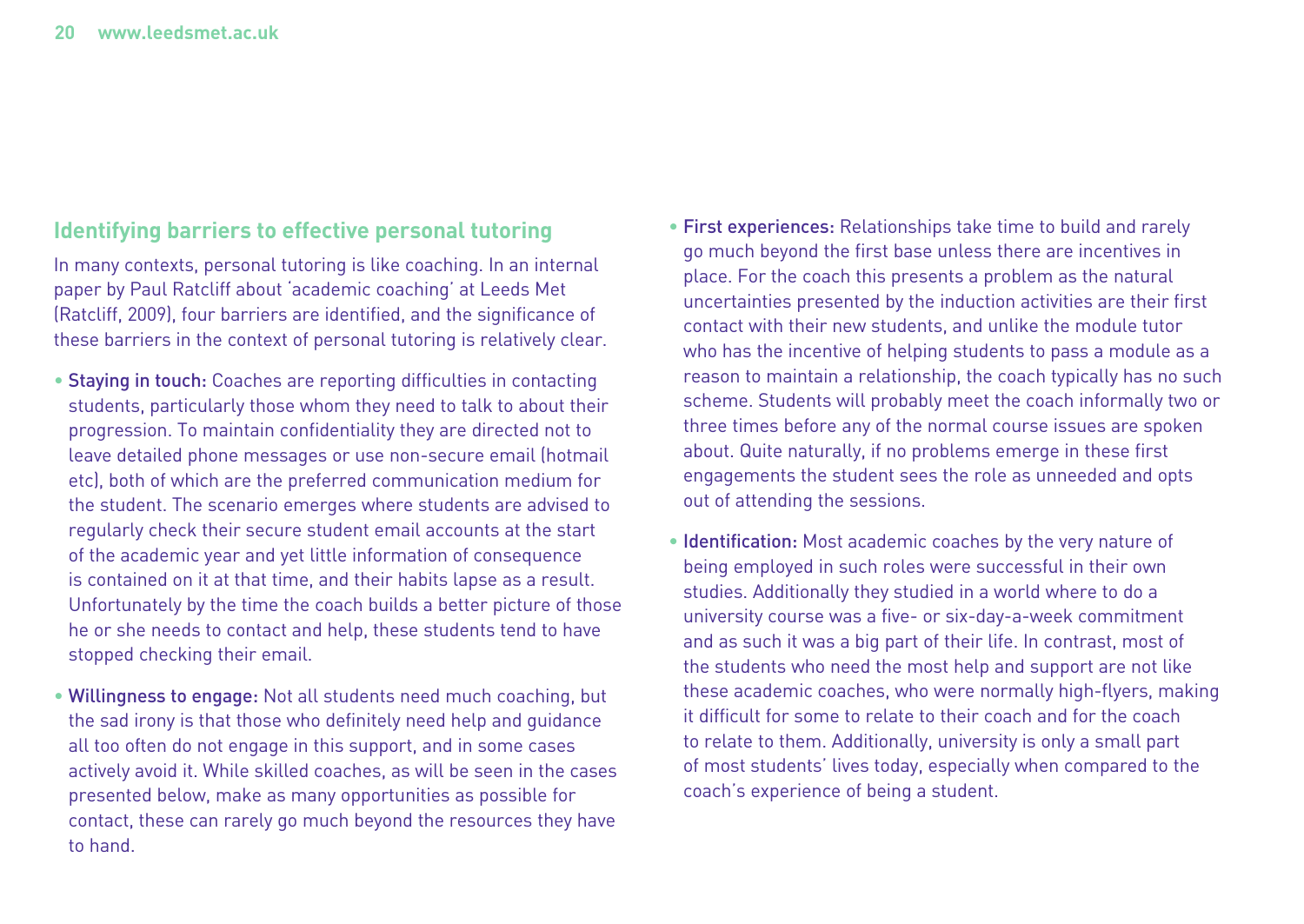# **Identifying barriers to effective personal tutoring**

In many contexts, personal tutoring is like coaching. In an internal paper by Paul Ratcliff about 'academic coaching' at Leeds Met (Ratcliff, 2009), four barriers are identified, and the significance of these barriers in the context of personal tutoring is relatively clear.

- Staying in touch: Coaches are reporting difficulties in contacting students, particularly those whom they need to talk to about their progression. To maintain confidentiality they are directed not to leave detailed phone messages or use non-secure email (hotmail etc), both of which are the preferred communication medium for the student. The scenario emerges where students are advised to regularly check their secure student email accounts at the start of the academic year and yet little information of consequence is contained on it at that time, and their habits lapse as a result. Unfortunately by the time the coach builds a better picture of those he or she needs to contact and help, these students tend to have stopped checking their email.
- Willingness to engage: Not all students need much coaching, but the sad irony is that those who definitely need help and guidance all too often do not engage in this support, and in some cases actively avoid it. While skilled coaches, as will be seen in the cases presented below, make as many opportunities as possible for contact, these can rarely go much beyond the resources they have to hand.
- First experiences: Relationships take time to build and rarely go much beyond the first base unless there are incentives in place. For the coach this presents a problem as the natural uncertainties presented by the induction activities are their first contact with their new students, and unlike the module tutor who has the incentive of helping students to pass a module as a reason to maintain a relationship, the coach typically has no such scheme. Students will probably meet the coach informally two or three times before any of the normal course issues are spoken about. Quite naturally, if no problems emerge in these first engagements the student sees the role as unneeded and opts out of attending the sessions.
- Identification: Most academic coaches by the very nature of being employed in such roles were successful in their own studies. Additionally they studied in a world where to do a university course was a five- or six-day-a-week commitment and as such it was a big part of their life. In contrast, most of the students who need the most help and support are not like these academic coaches, who were normally high-flyers, making it difficult for some to relate to their coach and for the coach to relate to them. Additionally, university is only a small part of most students' lives today, especially when compared to the coach's experience of being a student.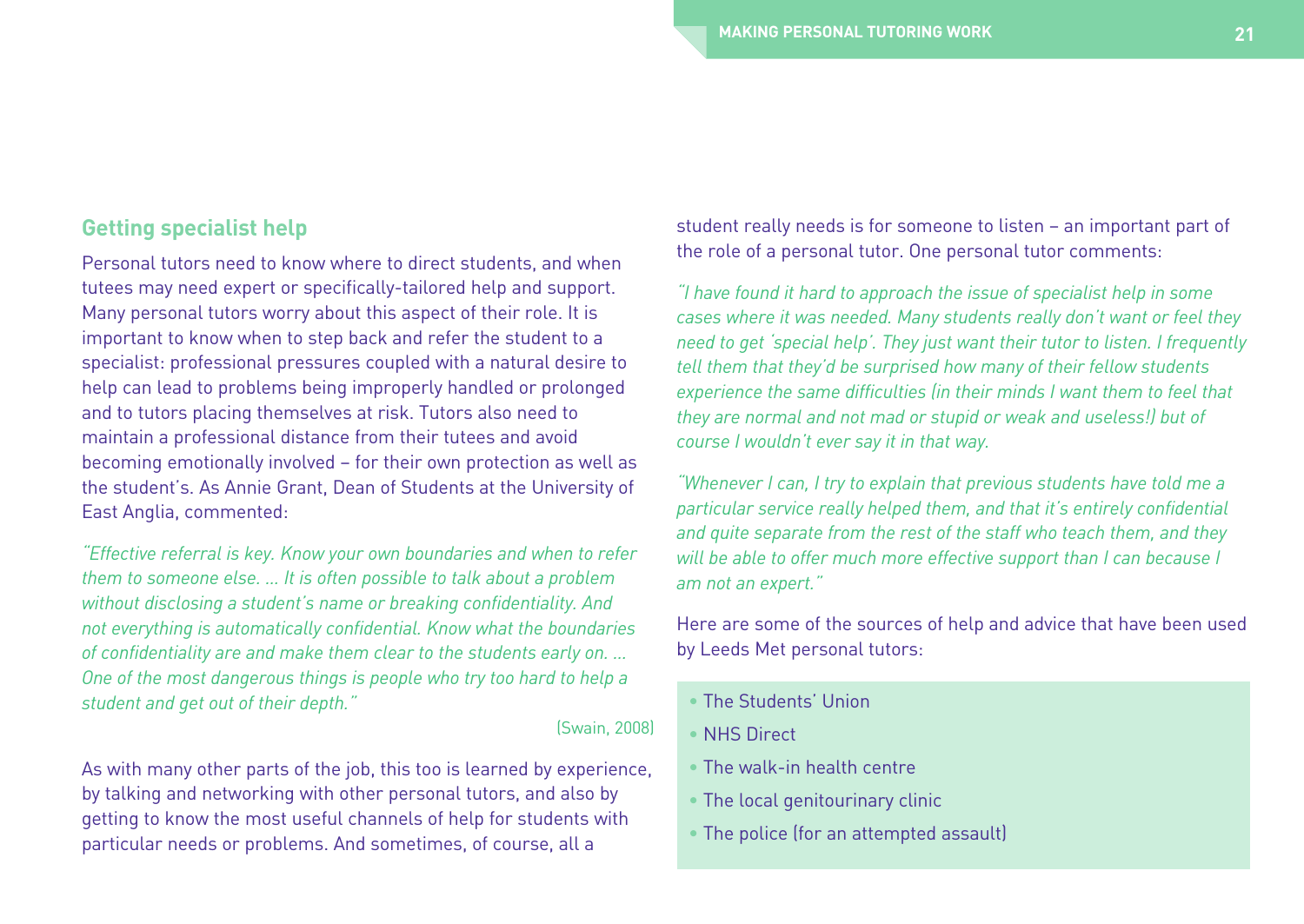# **Getting specialist help**

Personal tutors need to know where to direct students, and when tutees may need expert or specifically-tailored help and support. Many personal tutors worry about this aspect of their role. It is important to know when to step back and refer the student to a specialist: professional pressures coupled with a natural desire to help can lead to problems being improperly handled or prolonged and to tutors placing themselves at risk. Tutors also need to maintain a professional distance from their tutees and avoid becoming emotionally involved – for their own protection as well as the student's. As Annie Grant, Dean of Students at the University of East Anglia, commented:

*"Effective referral is key. Know your own boundaries and when to refer them to someone else. … It is often possible to talk about a problem without disclosing a student's name or breaking confidentiality. And not everything is automatically confidential. Know what the boundaries of confidentiality are and make them clear to the students early on. … One of the most dangerous things is people who try too hard to help a student and get out of their depth."* 

(Swain, 2008)

As with many other parts of the job, this too is learned by experience, by talking and networking with other personal tutors, and also by getting to know the most useful channels of help for students with particular needs or problems. And sometimes, of course, all a

student really needs is for someone to listen – an important part of the role of a personal tutor. One personal tutor comments:

*"I have found it hard to approach the issue of specialist help in some cases where it was needed. Many students really don't want or feel they need to get 'special help'. They just want their tutor to listen. I frequently tell them that they'd be surprised how many of their fellow students experience the same difficulties (in their minds I want them to feel that they are normal and not mad or stupid or weak and useless!) but of course I wouldn't ever say it in that way.*

*"Whenever I can, I try to explain that previous students have told me a particular service really helped them, and that it's entirely confidential and quite separate from the rest of the staff who teach them, and they will be able to offer much more effective support than I can because I am not an expert."*

Here are some of the sources of help and advice that have been used by Leeds Met personal tutors:

- The Students' Union
- NHS Direct
- The walk-in health centre
- The local genitourinary clinic
- The police (for an attempted assault)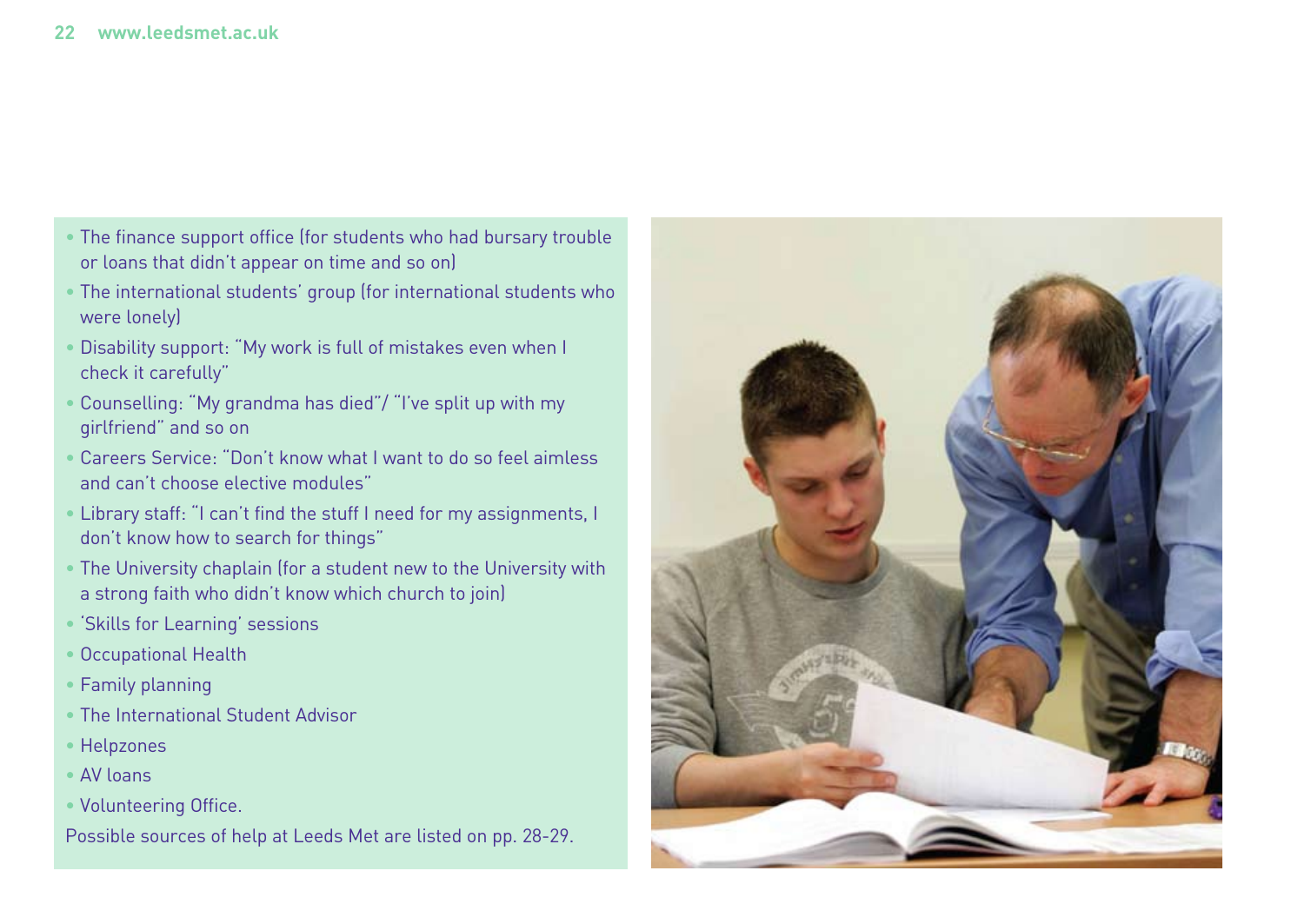- The finance support office (for students who had bursary trouble or loans that didn't appear on time and so on)
- The international students' group (for international students who were lonely)
- Disability support: "My work is full of mistakes even when I check it carefully"
- Counselling: "My grandma has died"/ "I've split up with my girlfriend" and so on
- Careers Service: "Don't know what I want to do so feel aimless and can't choose elective modules"
- Library staff: "I can't find the stuff I need for my assignments, I don't know how to search for things"
- The University chaplain (for a student new to the University with a strong faith who didn't know which church to join)
- 'Skills for Learning' sessions
- Occupational Health
- Family planning
- The International Student Advisor
- Helpzones
- AV loans
- Volunteering Office.

Possible sources of help at Leeds Met are listed on pp. 28-29.

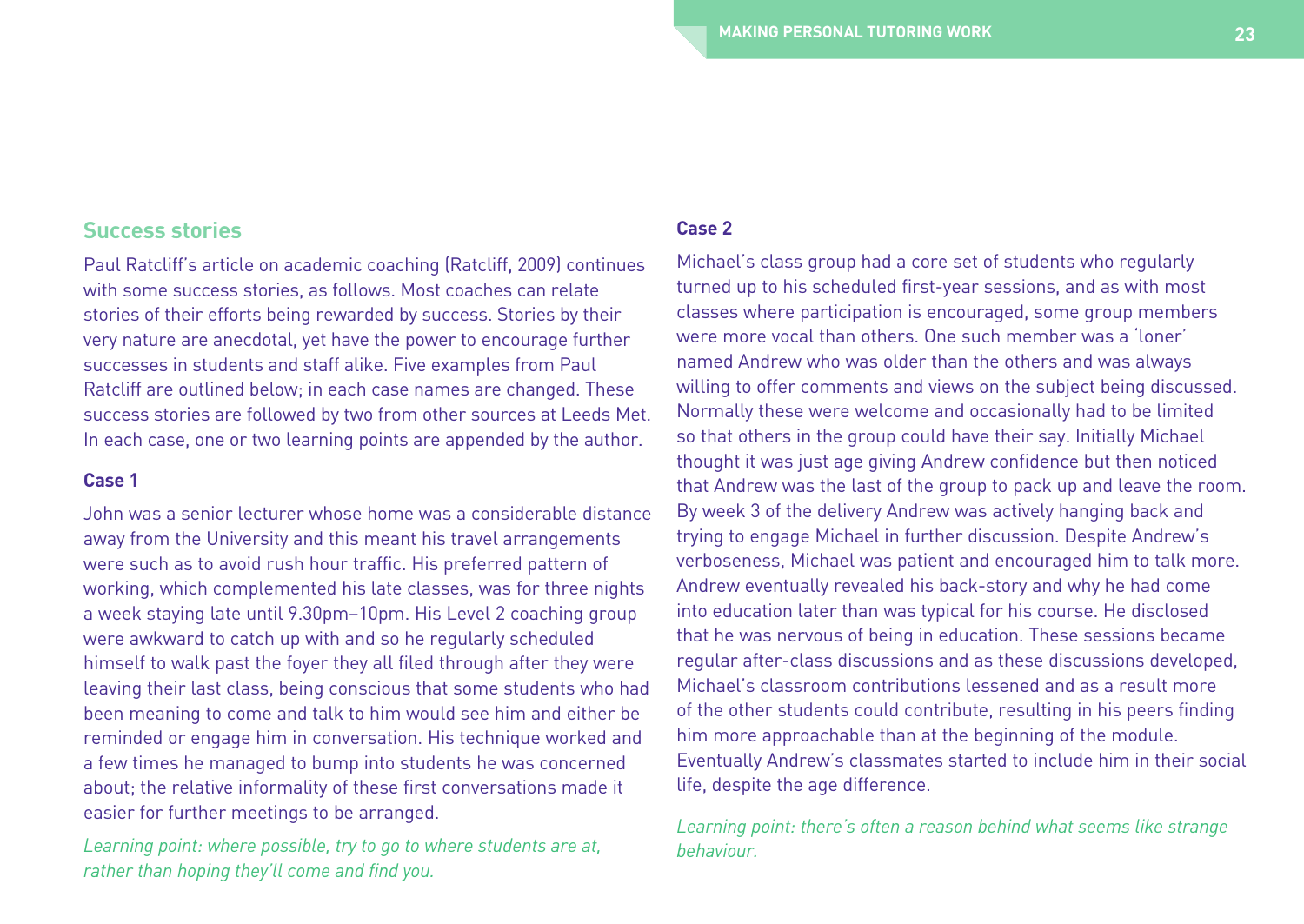# **Success stories**

Paul Ratcliff's article on academic coaching (Ratcliff, 2009) continues with some success stories, as follows. Most coaches can relate stories of their efforts being rewarded by success. Stories by their very nature are anecdotal, yet have the power to encourage further successes in students and staff alike. Five examples from Paul Ratcliff are outlined below; in each case names are changed. These success stories are followed by two from other sources at Leeds Met. In each case, one or two learning points are appended by the author.

# **Case 1**

John was a senior lecturer whose home was a considerable distance away from the University and this meant his travel arrangements were such as to avoid rush hour traffic. His preferred pattern of working, which complemented his late classes, was for three nights a week staying late until 9.30pm–10pm. His Level 2 coaching group were awkward to catch up with and so he regularly scheduled himself to walk past the foyer they all filed through after they were leaving their last class, being conscious that some students who had been meaning to come and talk to him would see him and either be reminded or engage him in conversation. His technique worked and a few times he managed to bump into students he was concerned about; the relative informality of these first conversations made it easier for further meetings to be arranged.

*Learning point: where possible, try to go to where students are at, rather than hoping they'll come and find you.* 

### **Case 2**

Michael's class group had a core set of students who regularly turned up to his scheduled first-year sessions, and as with most classes where participation is encouraged, some group members were more vocal than others. One such member was a 'loner' named Andrew who was older than the others and was always willing to offer comments and views on the subject being discussed. Normally these were welcome and occasionally had to be limited so that others in the group could have their say. Initially Michael thought it was just age giving Andrew confidence but then noticed that Andrew was the last of the group to pack up and leave the room. By week 3 of the delivery Andrew was actively hanging back and trying to engage Michael in further discussion. Despite Andrew's verboseness, Michael was patient and encouraged him to talk more. Andrew eventually revealed his back-story and why he had come into education later than was typical for his course. He disclosed that he was nervous of being in education. These sessions became regular after-class discussions and as these discussions developed, Michael's classroom contributions lessened and as a result more of the other students could contribute, resulting in his peers finding him more approachable than at the beginning of the module. Eventually Andrew's classmates started to include him in their social life, despite the age difference.

*Learning point: there's often a reason behind what seems like strange behaviour.*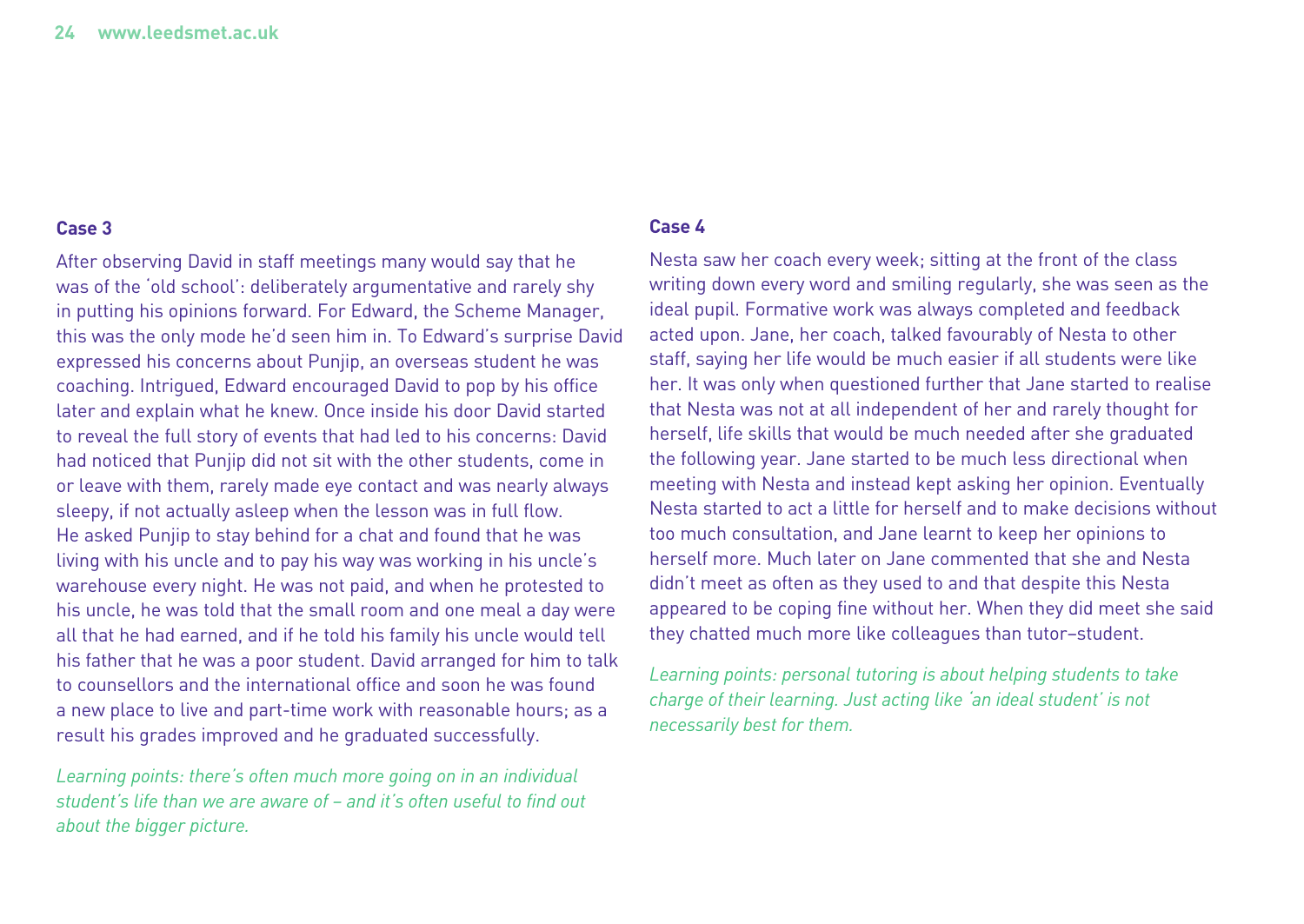#### **Case 3**

After observing David in staff meetings many would say that he was of the 'old school': deliberately argumentative and rarely shy in putting his opinions forward. For Edward, the Scheme Manager, this was the only mode he'd seen him in. To Edward's surprise David expressed his concerns about Punjip, an overseas student he was coaching. Intrigued, Edward encouraged David to pop by his office later and explain what he knew. Once inside his door David started to reveal the full story of events that had led to his concerns: David had noticed that Punjip did not sit with the other students, come in or leave with them, rarely made eye contact and was nearly always sleepy, if not actually asleep when the lesson was in full flow. He asked Punjip to stay behind for a chat and found that he was living with his uncle and to pay his way was working in his uncle's warehouse every night. He was not paid, and when he protested to his uncle, he was told that the small room and one meal a day were all that he had earned, and if he told his family his uncle would tell his father that he was a poor student. David arranged for him to talk to counsellors and the international office and soon he was found a new place to live and part-time work with reasonable hours; as a result his grades improved and he graduated successfully.

*Learning points: there's often much more going on in an individual student's life than we are aware of – and it's often useful to find out about the bigger picture.*

### **Case 4**

Nesta saw her coach every week; sitting at the front of the class writing down every word and smiling regularly, she was seen as the ideal pupil. Formative work was always completed and feedback acted upon. Jane, her coach, talked favourably of Nesta to other staff, saying her life would be much easier if all students were like her. It was only when questioned further that Jane started to realise that Nesta was not at all independent of her and rarely thought for herself, life skills that would be much needed after she graduated the following year. Jane started to be much less directional when meeting with Nesta and instead kept asking her opinion. Eventually Nesta started to act a little for herself and to make decisions without too much consultation, and Jane learnt to keep her opinions to herself more. Much later on Jane commented that she and Nesta didn't meet as often as they used to and that despite this Nesta appeared to be coping fine without her. When they did meet she said they chatted much more like colleagues than tutor–student.

*Learning points: personal tutoring is about helping students to take charge of their learning. Just acting like 'an ideal student' is not necessarily best for them.*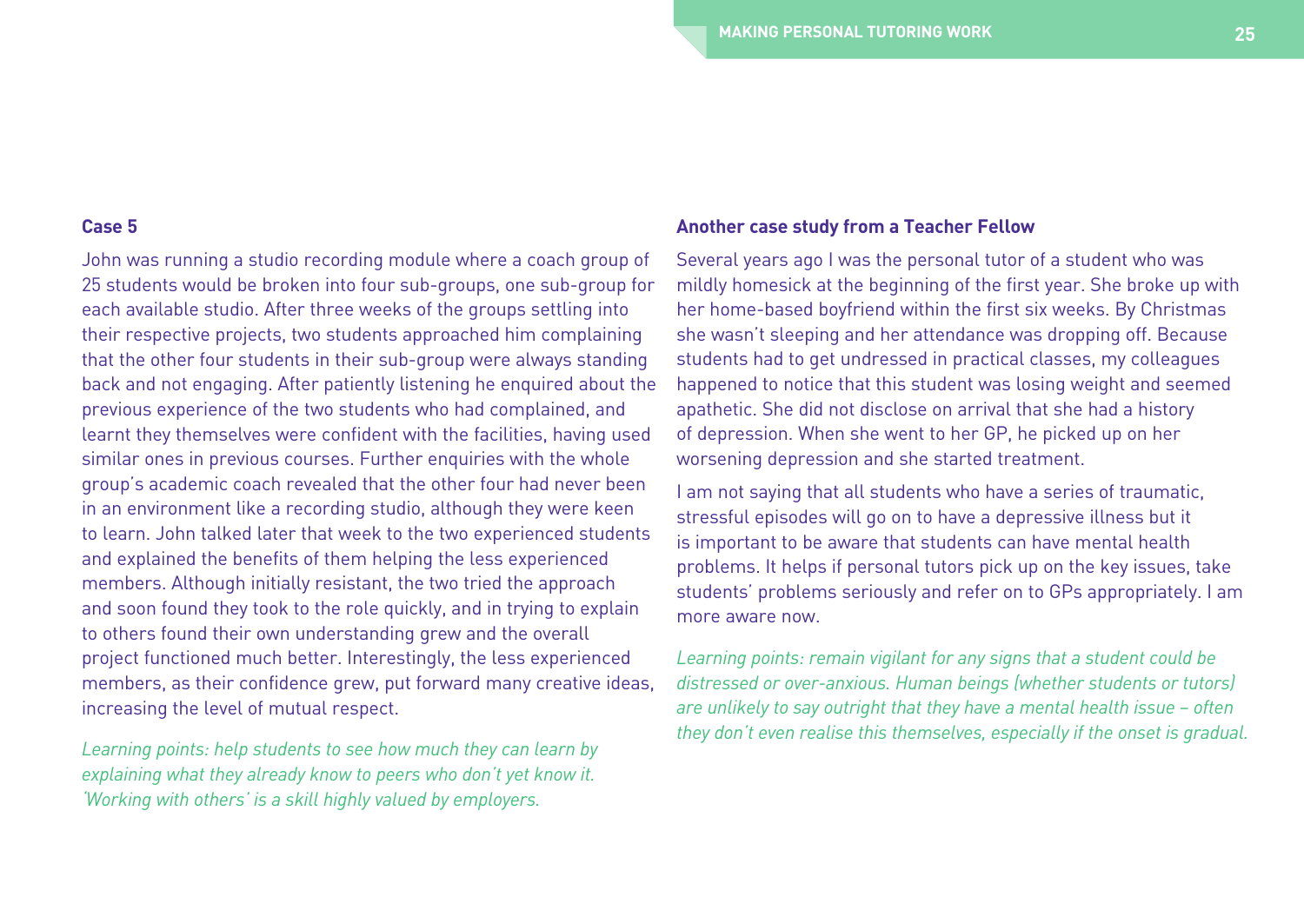#### **Case 5**

John was running a studio recording module where a coach group of 25 students would be broken into four sub-groups, one sub-group for each available studio. After three weeks of the groups settling into their respective projects, two students approached him complaining that the other four students in their sub-group were always standing back and not engaging. After patiently listening he enquired about the previous experience of the two students who had complained, and learnt they themselves were confident with the facilities, having used similar ones in previous courses. Further enquiries with the whole group's academic coach revealed that the other four had never been in an environment like a recording studio, although they were keen to learn. John talked later that week to the two experienced students and explained the benefits of them helping the less experienced members. Although initially resistant, the two tried the approach and soon found they took to the role quickly, and in trying to explain to others found their own understanding grew and the overall project functioned much better. Interestingly, the less experienced members, as their confidence grew, put forward many creative ideas, increasing the level of mutual respect.

*Learning points: help students to see how much they can learn by explaining what they already know to peers who don't yet know it. 'Working with others' is a skill highly valued by employers.*

#### **Another case study from a Teacher Fellow**

Several years ago I was the personal tutor of a student who was mildly homesick at the beginning of the first year. She broke up with her home-based boyfriend within the first six weeks. By Christmas she wasn't sleeping and her attendance was dropping off. Because students had to get undressed in practical classes, my colleagues happened to notice that this student was losing weight and seemed apathetic. She did not disclose on arrival that she had a history of depression. When she went to her GP, he picked up on her worsening depression and she started treatment.

I am not saying that all students who have a series of traumatic, stressful episodes will go on to have a depressive illness but it is important to be aware that students can have mental health problems. It helps if personal tutors pick up on the key issues, take students' problems seriously and refer on to GPs appropriately. I am more aware now.

*Learning points: remain vigilant for any signs that a student could be distressed or over-anxious. Human beings (whether students or tutors) are unlikely to say outright that they have a mental health issue – often they don't even realise this themselves, especially if the onset is gradual.*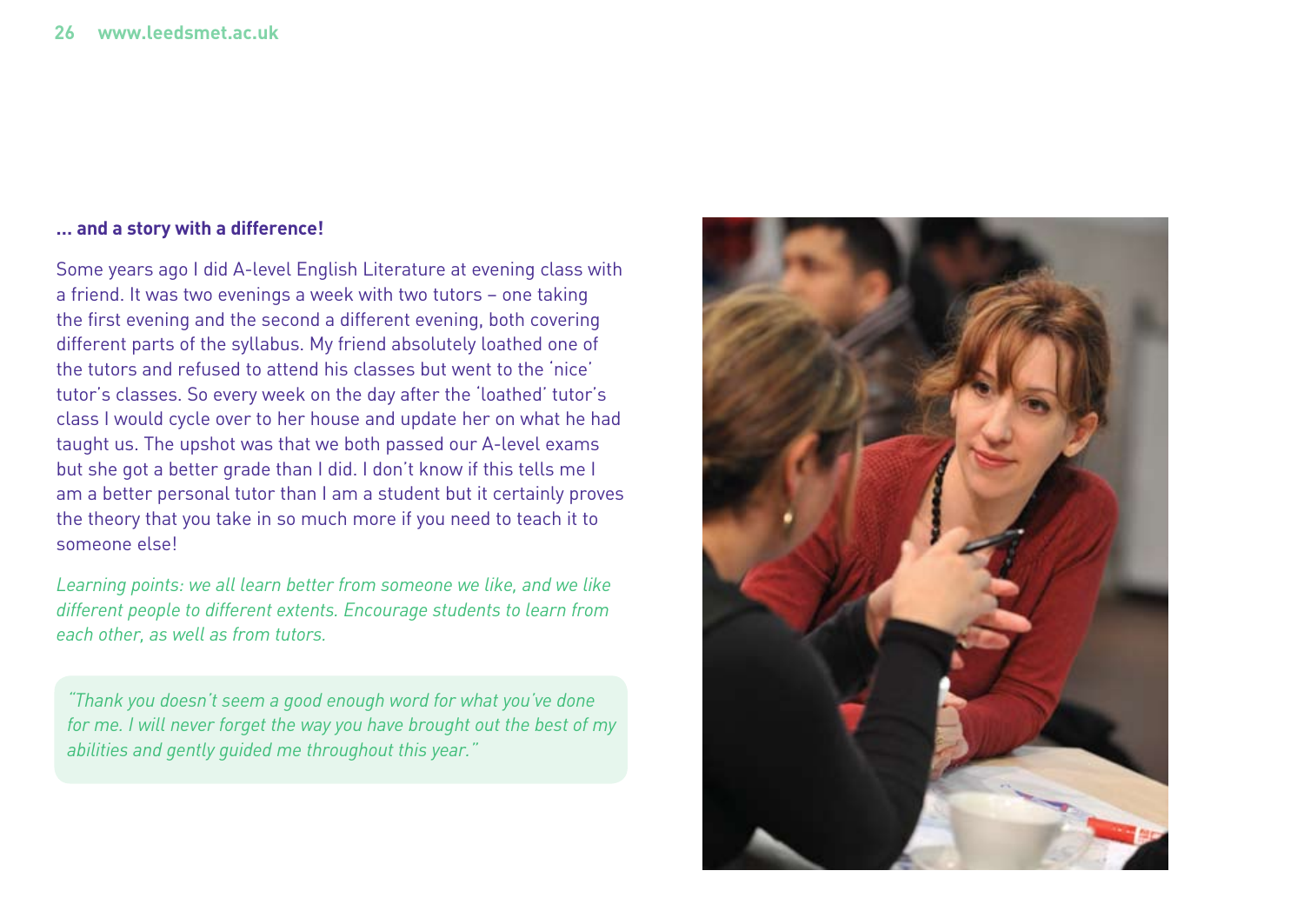#### **… and a story with a difference!**

Some years ago I did A-level English Literature at evening class with a friend. It was two evenings a week with two tutors – one taking the first evening and the second a different evening, both covering different parts of the syllabus. My friend absolutely loathed one of the tutors and refused to attend his classes but went to the 'nice' tutor's classes. So every week on the day after the 'loathed' tutor's class I would cycle over to her house and update her on what he had taught us. The upshot was that we both passed our A-level exams but she got a better grade than I did. I don't know if this tells me I am a better personal tutor than I am a student but it certainly proves the theory that you take in so much more if you need to teach it to someone else!

*Learning points: we all learn better from someone we like, and we like different people to different extents. Encourage students to learn from each other, as well as from tutors.*

*"Thank you doesn't seem a good enough word for what you've done for me. I will never forget the way you have brought out the best of my abilities and gently guided me throughout this year."*

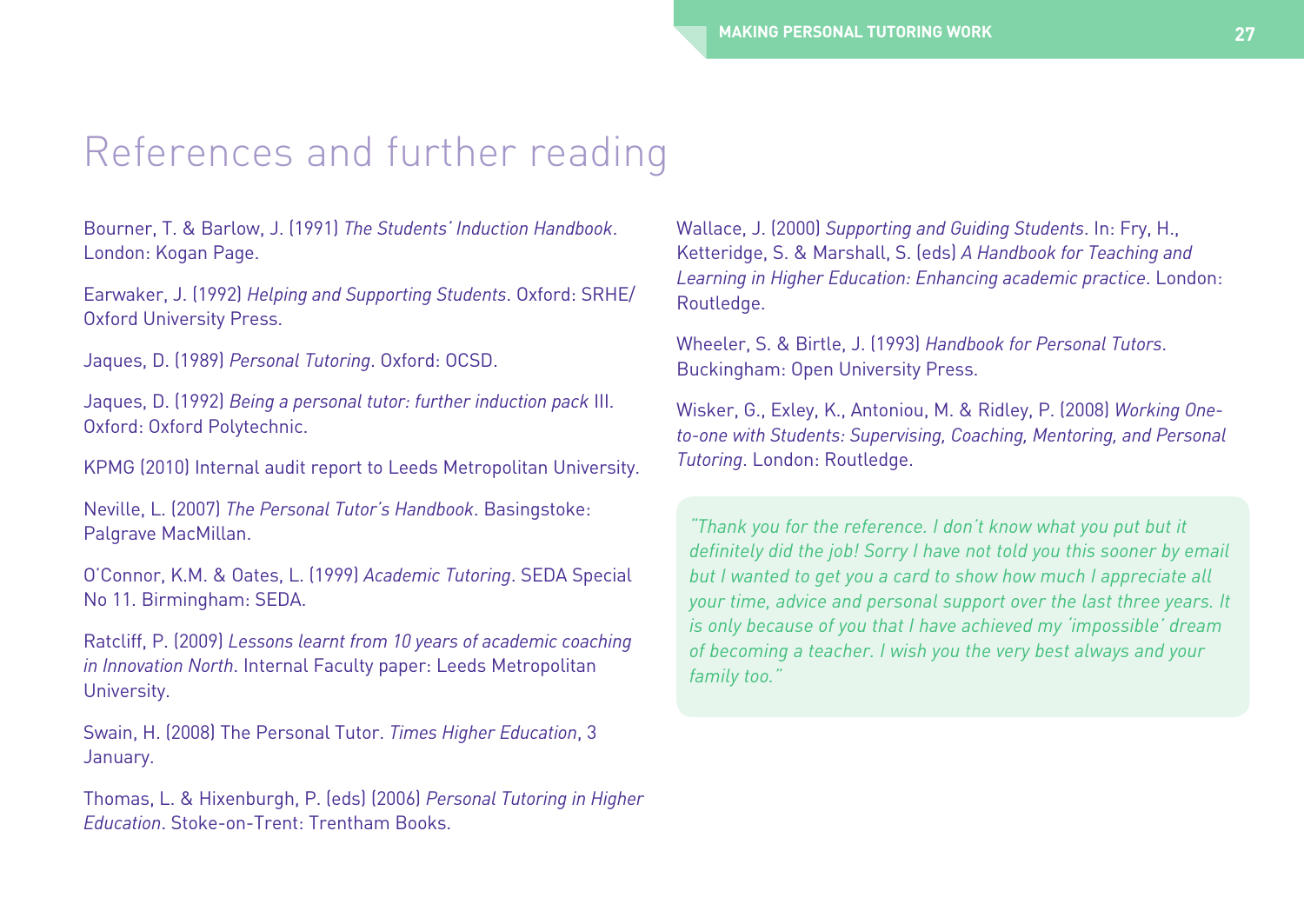# References and further reading

Bourner, T. & Barlow, J. (1991) *The Students' Induction Handbook*. London: Kogan Page.

Earwaker, J. (1992) *Helping and Supporting Students*. Oxford: SRHE/ Oxford University Press.

Jaques, D. (1989) *Personal Tutoring*. Oxford: OCSD.

Jaques, D. (1992) *Being a personal tutor: further induction pack* III. Oxford: Oxford Polytechnic.

KPMG (2010) Internal audit report to Leeds Metropolitan University.

Neville, L. (2007) *The Personal Tutor's Handbook*. Basingstoke: Palgrave MacMillan.

O'Connor, K.M. & Oates, L. (1999) *Academic Tutoring*. SEDA Special No 11. Birmingham: SEDA.

Ratcliff, P. (2009) *Lessons learnt from 10 years of academic coaching in Innovation North*. Internal Faculty paper: Leeds Metropolitan University.

Swain, H. (2008) The Personal Tutor. *Times Higher Education*, 3 January.

Thomas, L. & Hixenburgh, P. (eds) (2006) *Personal Tutoring in Higher Education*. Stoke-on-Trent: Trentham Books.

Wallace, J. (2000) *Supporting and Guiding Students*. In: Fry, H., Ketteridge, S. & Marshall, S. (eds) *A Handbook for Teaching and Learning in Higher Education: Enhancing academic practice*. London: Routledge.

Wheeler, S. & Birtle, J. (1993) *Handbook for Personal Tutors*. Buckingham: Open University Press.

Wisker, G., Exley, K., Antoniou, M. & Ridley, P. (2008) *Working Oneto-one with Students: Supervising, Coaching, Mentoring, and Personal Tutoring*. London: Routledge.

*"Thank you for the reference. I don't know what you put but it definitely did the job! Sorry I have not told you this sooner by email but I wanted to get you a card to show how much I appreciate all your time, advice and personal support over the last three years. It is only because of you that I have achieved my 'impossible' dream of becoming a teacher. I wish you the very best always and your family too."*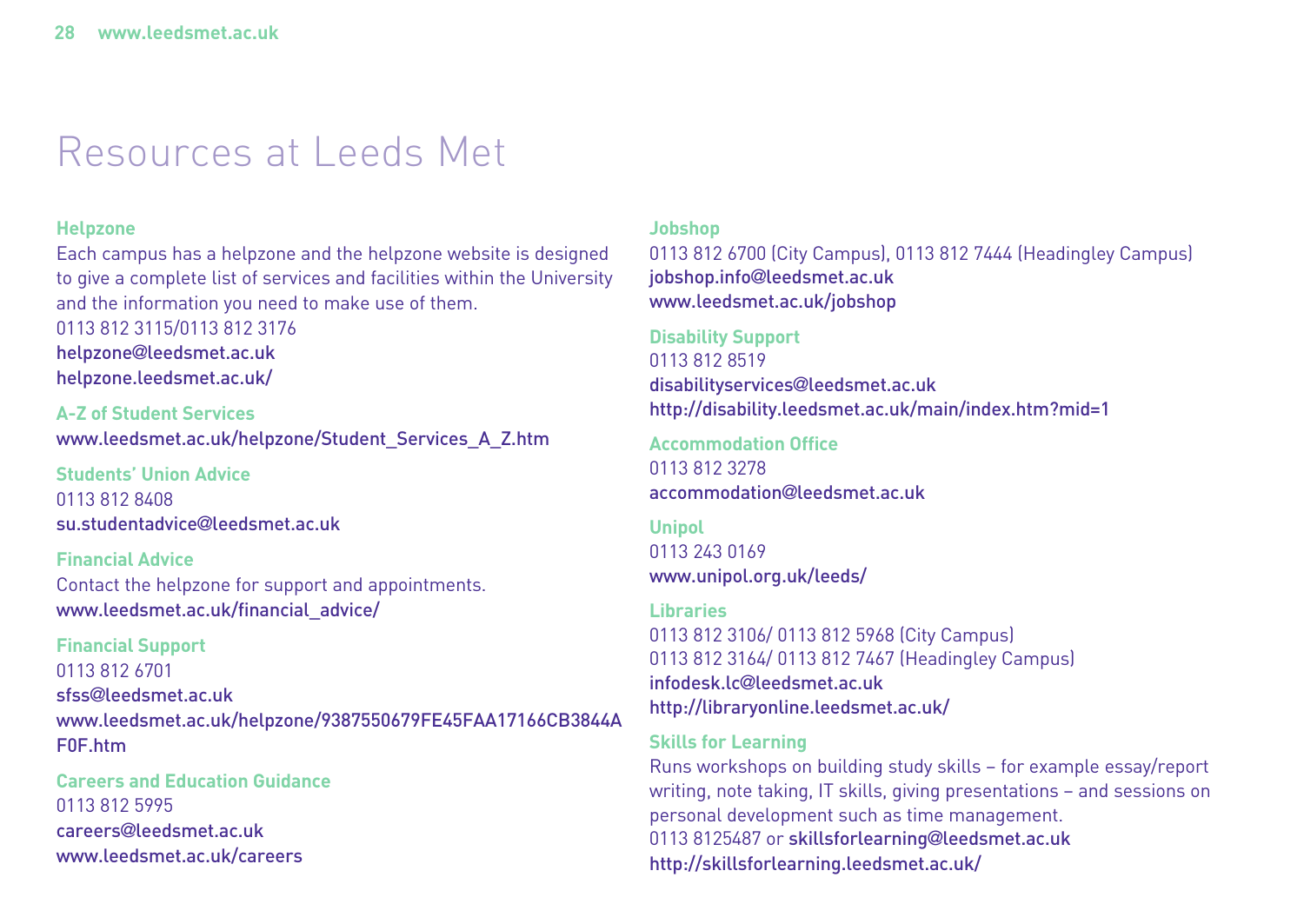# Resources at Leeds Met

#### **Helpzone**

Each campus has a helpzone and the helpzone website is designed to give a complete list of services and facilities within the University and the information you need to make use of them. 0113 812 3115/0113 812 3176 helpzone**@**leedsmet.ac.uk helpzone.leedsmet.ac.uk/

**A-Z of Student Services** www.leedsmet.ac.uk/helpzone/Student\_Services\_A\_Z.htm

**Students' Union Advice** 0113 812 8408 su.studentadvice**@**leedsmet.ac.uk

**Financial Advice** Contact the helpzone for support and appointments. www.leedsmet.ac.uk/financial\_advice/

**Financial Support** 0113 812 6701 sfss**@**leedsmet.ac.uk www.leedsmet.ac.uk/helpzone/9387550679FE45FAA17166CB3844A F0F.htm

**Careers and Education Guidance**  0113 812 5995 careers**@**leedsmet.ac.uk www.leedsmet.ac.uk/careers

#### **Jobshop**

0113 812 6700 (City Campus), 0113 812 7444 (Headingley Campus) jobshop.info**@**leedsmet.ac.uk www.leedsmet.ac.uk/jobshop

#### **Disability Support** 0113 812 8519

disabilityservices**@**leedsmet.ac.uk http://disability.leedsmet.ac.uk/main/index.htm?mid=1

**Accommodation Office** 0113 812 3278 accommodation**@**leedsmet.ac.uk

**Unipol** 0113 243 0169 www.unipol.org.uk/leeds/

**Libraries** 0113 812 3106/ 0113 812 5968 (City Campus) 0113 812 3164/ 0113 812 7467 (Headingley Campus) infodesk.lc**@**leedsmet.ac.uk http://libraryonline.leedsmet.ac.uk/

### **Skills for Learning**

Runs workshops on building study skills – for example essay/report writing, note taking, IT skills, giving presentations – and sessions on personal development such as time management. 0113 8125487 or skillsforlearning**@**leedsmet.ac.uk http://skillsforlearning.leedsmet.ac.uk/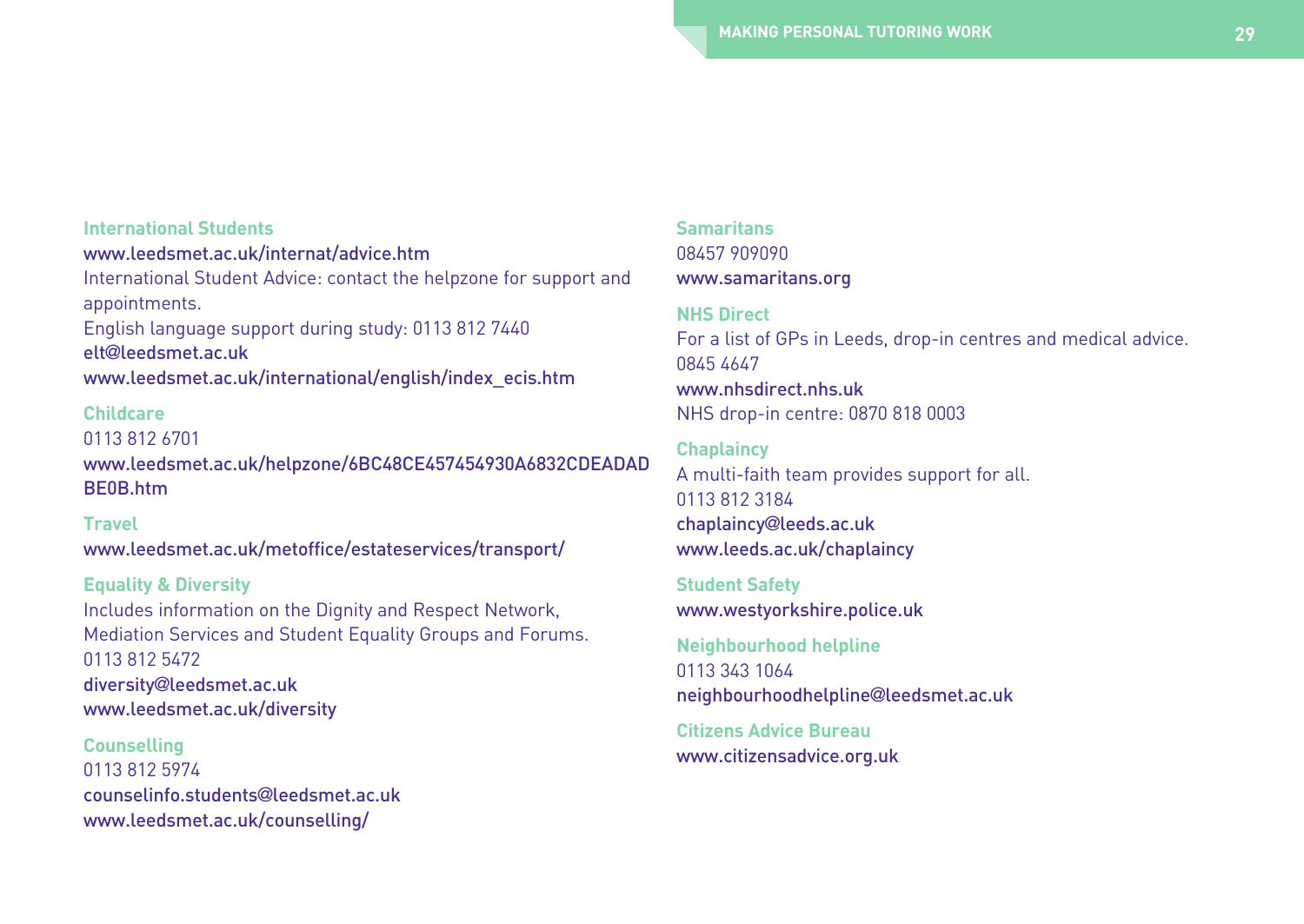# **International Students**

### www.leedsmet.ac.uk/internat/advice.htm

International Student Advice: contact the helpzone for support and appointments.

English language support during study: 0113 812 7440 elt**@**leedsmet.ac.uk

www.leedsmet.ac.uk/international/english/index\_ecis.htm

### **Childcare**

0113 812 6701 www.leedsmet.ac.uk/helpzone/6BC48CE457454930A6832CDEADAD BE0B.htm

#### **Travel**

www.leedsmet.ac.uk/metoffice/estateservices/transport/

#### **Equality & Diversity**

Includes information on the Dignity and Respect Network, Mediation Services and Student Equality Groups and Forums. 0113 812 5472 diversity**@**leedsmet.ac.uk www.leedsmet.ac.uk/diversity

**Counselling** 0113 812 5974 counselinfo.students**@**leedsmet.ac.uk www.leedsmet.ac.uk/counselling/

# **Samaritans** 08457 909090 www.samaritans.org

**NHS Direct**  For a list of GPs in Leeds, drop-in centres and medical advice. 0845 4647 www.nhsdirect.nhs.uk NHS drop-in centre: 0870 818 0003

**Chaplaincy** A multi-faith team provides support for all. 0113 812 3184 chaplaincy**@**leeds.ac.uk www.leeds.ac.uk/chaplaincy

**Student Safety** www.westyorkshire.police.uk

**Neighbourhood helpline** 0113 343 1064 neighbourhoodhelpline**@**leedsmet.ac.uk

**Citizens Advice Bureau** www.citizensadvice.org.uk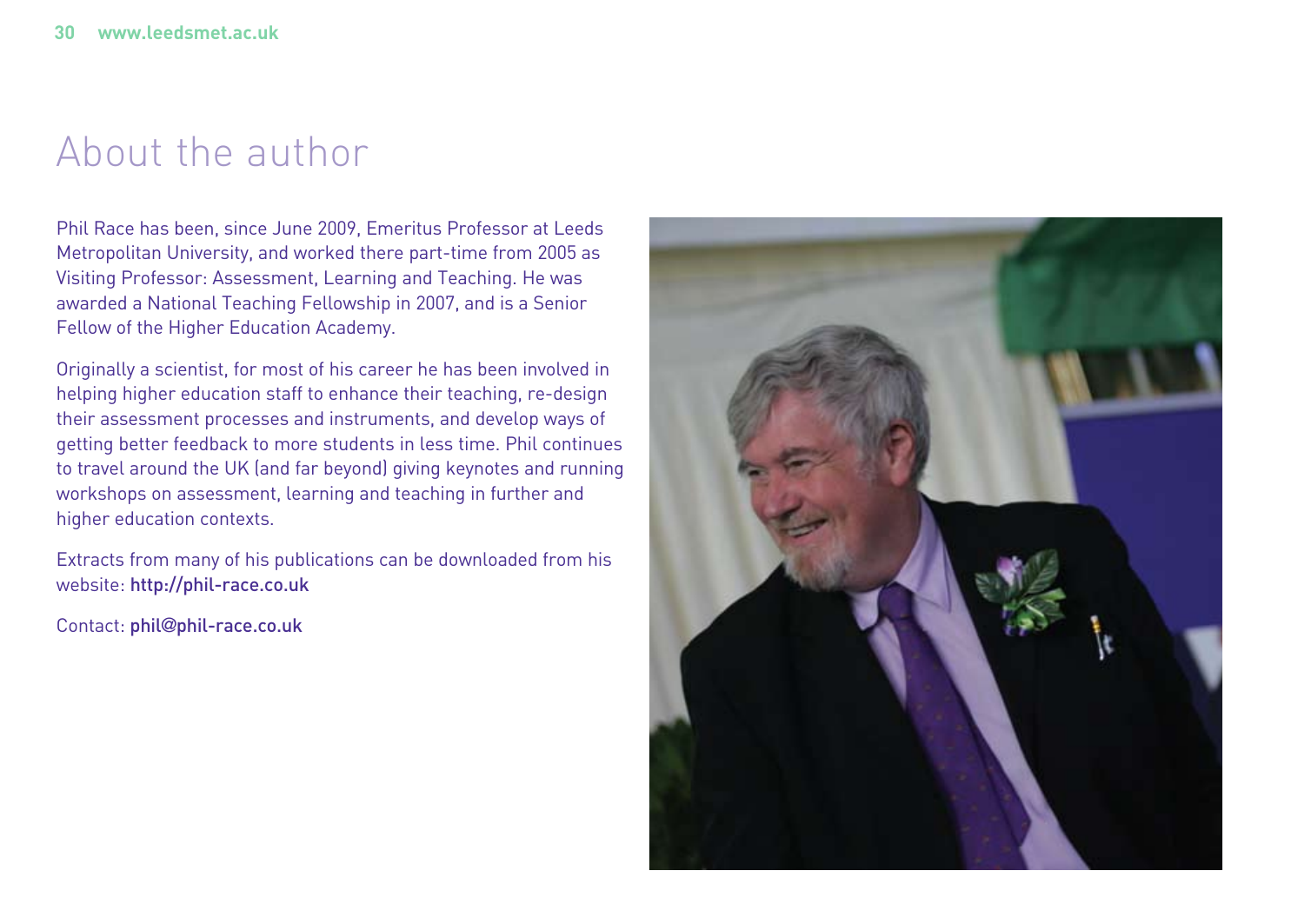# About the author

Phil Race has been, since June 2009, Emeritus Professor at Leeds Metropolitan University, and worked there part-time from 2005 as Visiting Professor: Assessment, Learning and Teaching. He was awarded a National Teaching Fellowship in 2007, and is a Senior Fellow of the Higher Education Academy.

Originally a scientist, for most of his career he has been involved in helping higher education staff to enhance their teaching, re-design their assessment processes and instruments, and develop ways of getting better feedback to more students in less time. Phil continues to travel around the UK (and far beyond) giving keynotes and running workshops on assessment, learning and teaching in further and higher education contexts.

Extracts from many of his publications can be downloaded from his website: http://phil-race.co.uk

Contact: phil**@**phil-race.co.uk

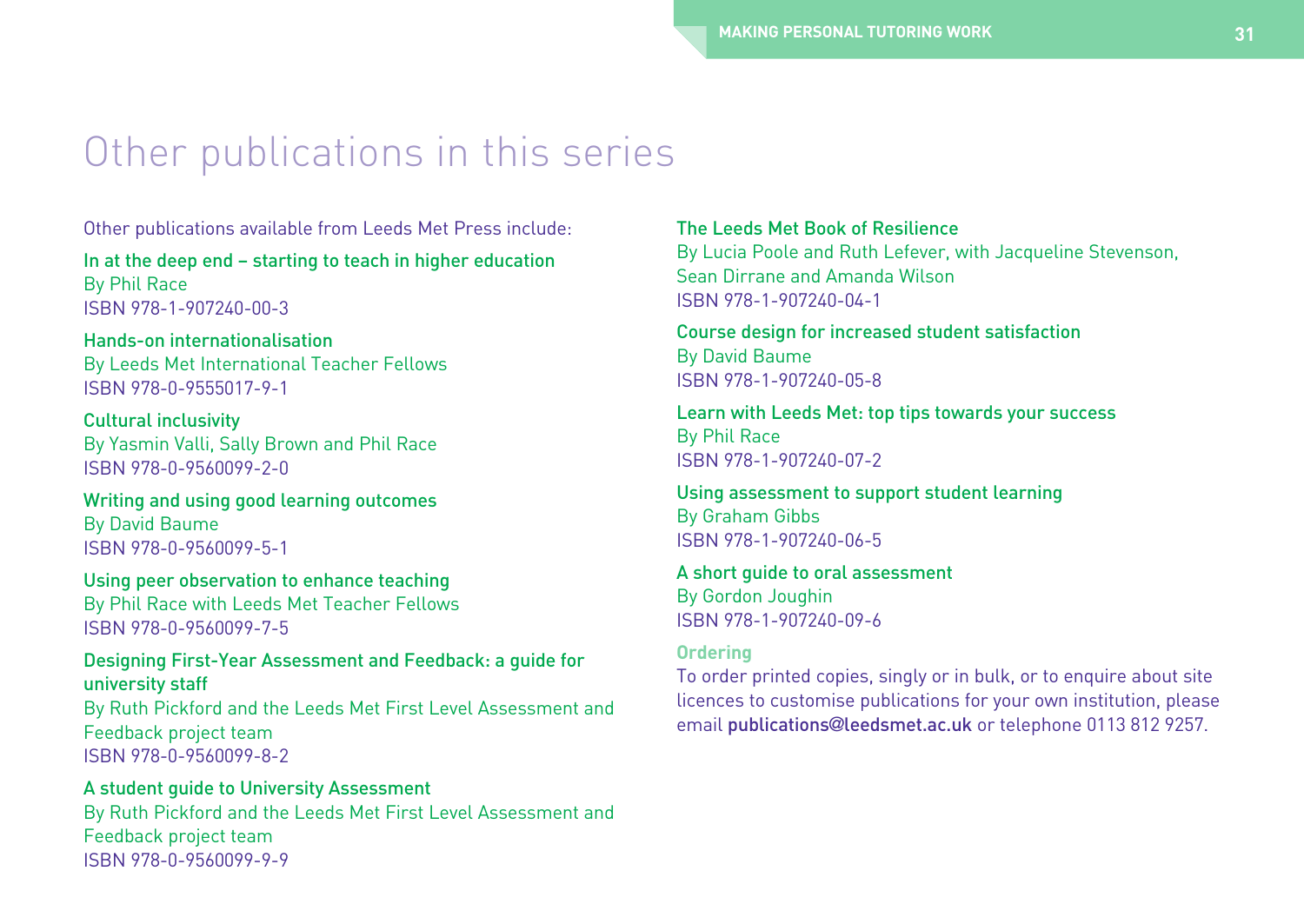# Other publications in this series

Other publications available from Leeds Met Press include:

In at the deep end – starting to teach in higher education By Phil Race ISBN 978-1-907240-00-3

Hands-on internationalisation By Leeds Met International Teacher Fellows ISBN 978-0-9555017-9-1

Cultural inclusivity By Yasmin Valli, Sally Brown and Phil Race ISBN 978-0-9560099-2-0

Writing and using good learning outcomes By David Baume ISBN 978-0-9560099-5-1

Using peer observation to enhance teaching By Phil Race with Leeds Met Teacher Fellows ISBN 978-0-9560099-7-5

Designing First-Year Assessment and Feedback: a guide for university staff By Ruth Pickford and the Leeds Met First Level Assessment and

Feedback project team ISBN 978-0-9560099-8-2

A student guide to University Assessment By Ruth Pickford and the Leeds Met First Level Assessment and Feedback project team ISBN 978-0-9560099-9-9

The Leeds Met Book of Resilience By Lucia Poole and Ruth Lefever, with Jacqueline Stevenson, Sean Dirrane and Amanda Wilson ISBN 978-1-907240-04-1

Course design for increased student satisfaction By David Baume ISBN 978-1-907240-05-8

Learn with Leeds Met: top tips towards your success By Phil Race ISBN 978-1-907240-07-2

Using assessment to support student learning By Graham Gibbs ISBN 978-1-907240-06-5

A short guide to oral assessment By Gordon Joughin ISBN 978-1-907240-09-6

#### **Ordering**

To order printed copies, singly or in bulk, or to enquire about site licences to customise publications for your own institution, please email publications**@**leedsmet.ac.uk or telephone 0113 812 9257.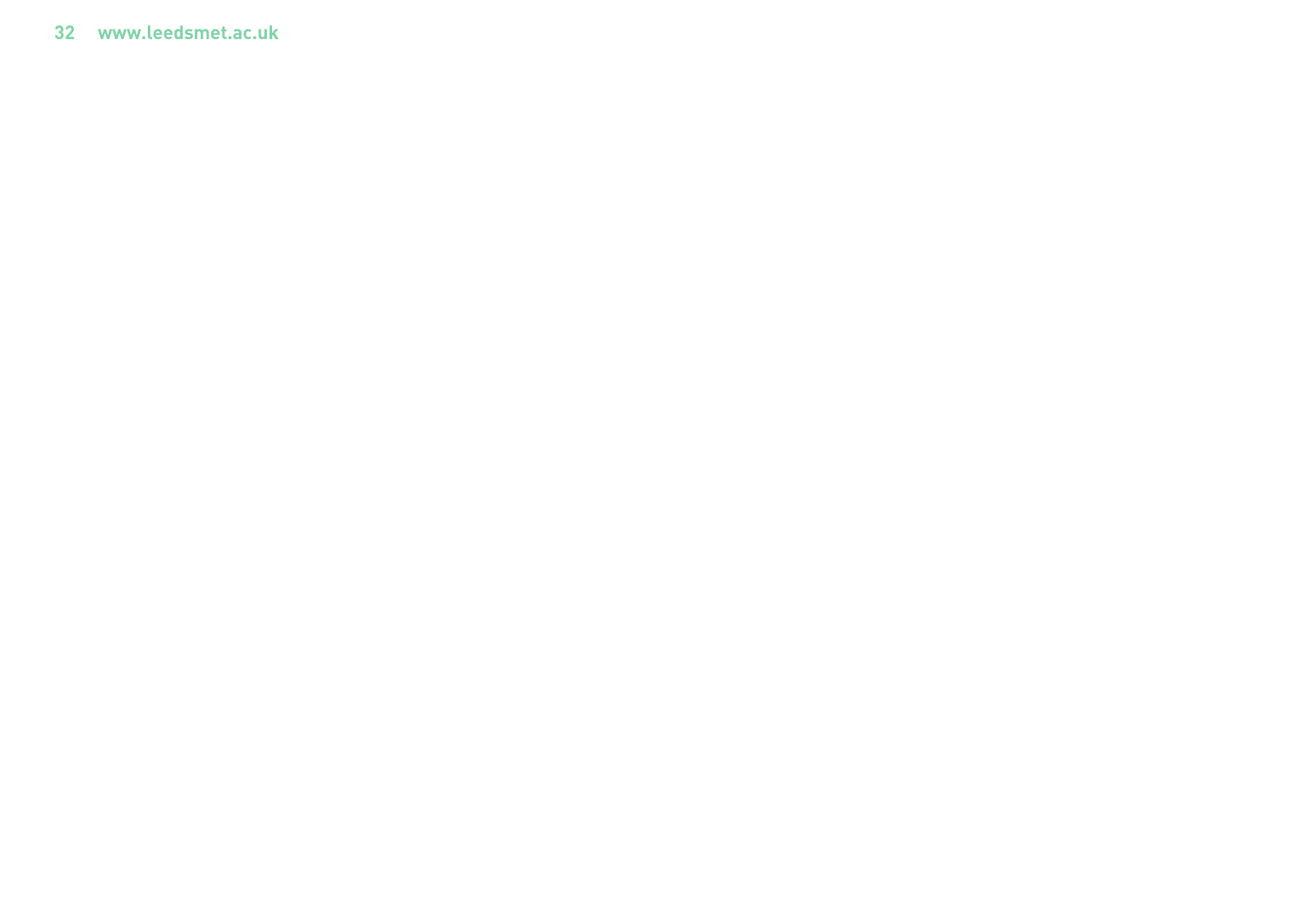# **www.leedsmet.ac.uk**